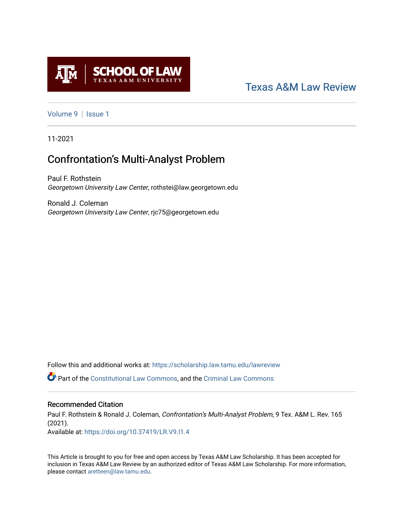

# [Texas A&M Law Review](https://scholarship.law.tamu.edu/lawreview)

[Volume 9](https://scholarship.law.tamu.edu/lawreview/vol9) | Issue 1

11-2021

# Confrontation's Multi-Analyst Problem

Paul F. Rothstein Georgetown University Law Center, rothstei@law.georgetown.edu

Ronald J. Coleman Georgetown University Law Center, rjc75@georgetown.edu

Follow this and additional works at: [https://scholarship.law.tamu.edu/lawreview](https://scholarship.law.tamu.edu/lawreview?utm_source=scholarship.law.tamu.edu%2Flawreview%2Fvol9%2Fiss1%2F7&utm_medium=PDF&utm_campaign=PDFCoverPages)

Part of the [Constitutional Law Commons,](http://network.bepress.com/hgg/discipline/589?utm_source=scholarship.law.tamu.edu%2Flawreview%2Fvol9%2Fiss1%2F7&utm_medium=PDF&utm_campaign=PDFCoverPages) and the [Criminal Law Commons](http://network.bepress.com/hgg/discipline/912?utm_source=scholarship.law.tamu.edu%2Flawreview%2Fvol9%2Fiss1%2F7&utm_medium=PDF&utm_campaign=PDFCoverPages)

# Recommended Citation

Paul F. Rothstein & Ronald J. Coleman, Confrontation's Multi-Analyst Problem, 9 Tex. A&M L. Rev. 165 (2021). Available at:<https://doi.org/10.37419/LR.V9.I1.4>

This Article is brought to you for free and open access by Texas A&M Law Scholarship. It has been accepted for inclusion in Texas A&M Law Review by an authorized editor of Texas A&M Law Scholarship. For more information, please contact [aretteen@law.tamu.edu.](mailto:aretteen@law.tamu.edu)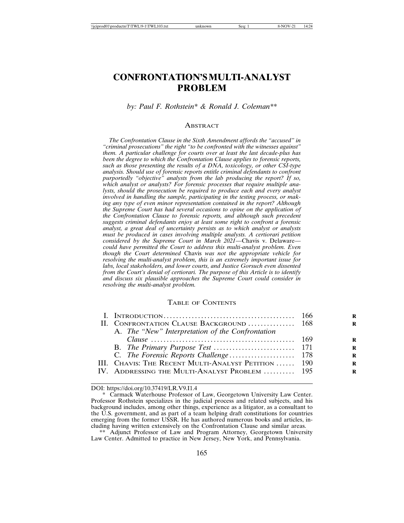# **CONFRONTATION'S MULTI-ANALYST PROBLEM**

*by: Paul F. Rothstein\* & Ronald J. Coleman\*\**

#### **ABSTRACT**

*The Confrontation Clause in the Sixth Amendment affords the "accused" in "criminal prosecutions" the right "to be confronted with the witnesses against" them. A particular challenge for courts over at least the last decade-plus has been the degree to which the Confrontation Clause applies to forensic reports, such as those presenting the results of a DNA, toxicology, or other CSI-type analysis. Should use of forensic reports entitle criminal defendants to confront purportedly "objective" analysts from the lab producing the report? If so, which analyst or analysts? For forensic processes that require multiple analysts, should the prosecution be required to produce each and every analyst involved in handling the sample, participating in the testing process, or making any type of even minor representation contained in the report? Although the Supreme Court has had several occasions to opine on the application of the Confrontation Clause to forensic reports, and although such precedent suggests criminal defendants enjoy at least some right to confront a forensic analyst, a great deal of uncertainty persists as to which analyst or analysts must be produced in cases involving multiple analysts. A certiorari petition considered by the Supreme Court in March 2021—*Chavis v. Delaware *could have permitted the Court to address this multi-analyst problem. Even though the Court determined* Chavis *was not the appropriate vehicle for resolving the multi-analyst problem, this is an extremely important issue for labs, local stakeholders, and lower courts, and Justice Gorsuch even dissented from the Court's denial of certiorari. The purpose of this Article is to identify and discuss six plausible approaches the Supreme Court could consider in resolving the multi-analyst problem.*

#### TABLE OF CONTENTS

| II. CONFRONTATION CLAUSE BACKGROUND  168                                                                                                                                                                                                                          |  |
|-------------------------------------------------------------------------------------------------------------------------------------------------------------------------------------------------------------------------------------------------------------------|--|
| A. The "New" Interpretation of the Confrontation                                                                                                                                                                                                                  |  |
| Clause $\ldots$ is a set of $\ldots$ is a set of $\ldots$ is a set of $\ldots$ is a set of $\ldots$ is a set of $\ldots$ is a set of $\ldots$ is a set of $\ldots$ is a set of $\ldots$ is a set of $\ldots$ is a set of $\ldots$ is a set of $\ldots$ is a set o |  |
|                                                                                                                                                                                                                                                                   |  |
|                                                                                                                                                                                                                                                                   |  |
| III. Chavis: The Recent Multi-Analyst Petition  190                                                                                                                                                                                                               |  |
| IV. ADDRESSING THE MULTI-ANALYST PROBLEM  195                                                                                                                                                                                                                     |  |
|                                                                                                                                                                                                                                                                   |  |

DOI: https://doi.org/10.37419/LR.V9.I1.4

<sup>\*</sup> Carmack Waterhouse Professor of Law, Georgetown University Law Center. Professor Rothstein specializes in the judicial process and related subjects, and his background includes, among other things, experience as a litigator, as a consultant to the U.S. government, and as part of a team helping draft constitutions for countries emerging from the former USSR. He has authored numerous books and articles, including having written extensively on the Confrontation Clause and similar areas.

Adjunct Professor of Law and Program Attorney, Georgetown University Law Center. Admitted to practice in New Jersey, New York, and Pennsylvania.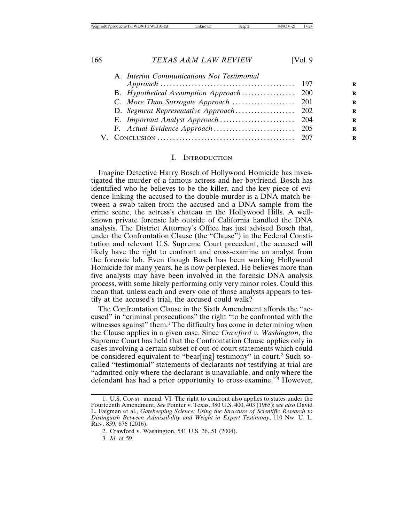| A. Interim Communications Not Testimonial |  |
|-------------------------------------------|--|
|                                           |  |
|                                           |  |
|                                           |  |
|                                           |  |
|                                           |  |
|                                           |  |
|                                           |  |
|                                           |  |

#### I. INTRODUCTION

Imagine Detective Harry Bosch of Hollywood Homicide has investigated the murder of a famous actress and her boyfriend. Bosch has identified who he believes to be the killer, and the key piece of evidence linking the accused to the double murder is a DNA match between a swab taken from the accused and a DNA sample from the crime scene, the actress's chateau in the Hollywood Hills. A wellknown private forensic lab outside of California handled the DNA analysis. The District Attorney's Office has just advised Bosch that, under the Confrontation Clause (the "Clause") in the Federal Constitution and relevant U.S. Supreme Court precedent, the accused will likely have the right to confront and cross-examine an analyst from the forensic lab. Even though Bosch has been working Hollywood Homicide for many years, he is now perplexed. He believes more than five analysts may have been involved in the forensic DNA analysis process, with some likely performing only very minor roles. Could this mean that, unless each and every one of those analysts appears to testify at the accused's trial, the accused could walk?

The Confrontation Clause in the Sixth Amendment affords the "accused" in "criminal prosecutions" the right "to be confronted with the witnesses against" them.<sup>1</sup> The difficulty has come in determining when the Clause applies in a given case. Since *Crawford v. Washington*, the Supreme Court has held that the Confrontation Clause applies only in cases involving a certain subset of out-of-court statements which could be considered equivalent to "bear[ing] testimony" in court.<sup>2</sup> Such socalled "testimonial" statements of declarants not testifying at trial are "admitted only where the declarant is unavailable, and only where the defendant has had a prior opportunity to cross-examine."<sup>3</sup> However,

<sup>1.</sup> U.S. CONST. amend. VI. The right to confront also applies to states under the Fourteenth Amendment. *See* Pointer v. Texas, 380 U.S. 400, 403 (1965); *see also* David L. Faigman et al., *Gatekeeping Science: Using the Structure of Scientific Research to Distinguish Between Admissibility and Weight in Expert Testimony*, 110 NW. U. L. REV. 859, 876 (2016).

<sup>2.</sup> Crawford v. Washington, 541 U.S. 36, 51 (2004).

<sup>3.</sup> *Id.* at 59.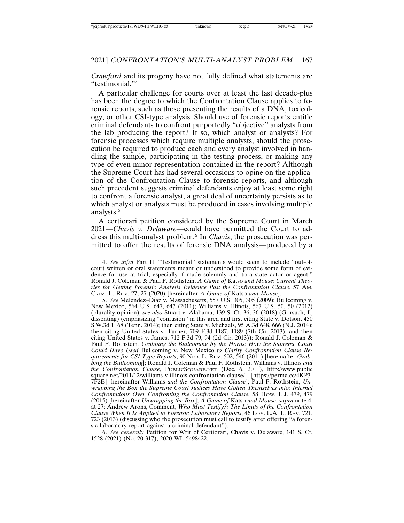*Crawford* and its progeny have not fully defined what statements are "testimonial."4

A particular challenge for courts over at least the last decade-plus has been the degree to which the Confrontation Clause applies to forensic reports, such as those presenting the results of a DNA, toxicology, or other CSI-type analysis. Should use of forensic reports entitle criminal defendants to confront purportedly "objective" analysts from the lab producing the report? If so, which analyst or analysts? For forensic processes which require multiple analysts, should the prosecution be required to produce each and every analyst involved in handling the sample, participating in the testing process, or making any type of even minor representation contained in the report? Although the Supreme Court has had several occasions to opine on the application of the Confrontation Clause to forensic reports, and although such precedent suggests criminal defendants enjoy at least some right to confront a forensic analyst, a great deal of uncertainty persists as to which analyst or analysts must be produced in cases involving multiple analysts.5

A certiorari petition considered by the Supreme Court in March 2021—*Chavis v. Delaware—*could have permitted the Court to address this multi-analyst problem.<sup>6</sup> In *Chavis*, the prosecution was permitted to offer the results of forensic DNA analysis—produced by a

5. *See* Melendez–Diaz v. Massachusetts, 557 U.S. 305, 305 (2009); Bullcoming v. New Mexico, 564 U.S. 647, 647 (2011); Williams v. Illinois, 567 U.S. 50, 50 (2012) (plurality opinion); *see also* Stuart v. Alabama, 139 S. Ct. 36, 36 (2018) (Gorsuch, J., dissenting) (emphasizing "confusion" in this area and first citing State v. Dotson, 450 S.W.3d 1, 68 (Tenn. 2014); then citing State v. Michaels, 95 A.3d 648, 666 (N.J. 2014); then citing United States v. Turner, 709 F.3d 1187, 1189 (7th Cir. 2013); and then citing United States v. James, 712 F.3d 79, 94 (2d Cir. 2013)); Ronald J. Coleman & Paul F. Rothstein*, Grabbing the Bullcoming by the Horns: How the Supreme Court Could Have Used* Bullcoming v. New Mexico *to Clarify Confrontation Clause Requirements for CSI-Type Reports*, 90 NEB. L. REV. 502, 546 (2011) [hereinafter *Grabbing the Bullcoming*]; Ronald J. Coleman & Paul F. Rothstein, Williams v. Illinois *and the Confrontation Clause*, PUBLICSQUARE.NET (Dec. 6, 2011), http://www.public square.net/2011/12/williams-v-illinois-confrontation-clause/ [https://perma.cc/4KP3- 7F2E] [hereinafter Williams *and the Confrontation Clause*]; Paul F. Rothstein, *Unwrapping the Box the Supreme Court Justices Have Gotten Themselves into: Internal Confrontations Over Confronting the Confrontation Clause*, 58 HOW. L.J. 479, 479 (2015) [hereinafter *Unwrapping the Box*]; *A Game of* Katso *and Mouse*, *supra* note 4, at 27; Andrew Arons, Comment, *Who Must Testify?: The Limits of the Confrontation Clause When It Is Applied to Forensic Laboratory Reports*, 46 LOY. L.A. L. REV. 721, 723 (2013) (discussing who the prosecution must call to testify after offering "a forensic laboratory report against a criminal defendant").

6. *See generally* Petition for Writ of Certiorari, Chavis v. Delaware, 141 S. Ct. 1528 (2021) (No. 20-317), 2020 WL 5498422.

<sup>4.</sup> *See infra* Part II. "Testimonial" statements would seem to include "out-ofcourt written or oral statements meant or understood to provide some form of evidence for use at trial, especially if made solemnly and to a state actor or agent." Ronald J. Coleman & Paul F. Rothstein, *A Game of* Katso *and Mouse: Current Theories for Getting Forensic Analysis Evidence Past the Confrontation Clause*, 57 AM. CRIM. L. REV. 27, 27 (2020) [hereinafter *A Game of* Katso *and Mouse*].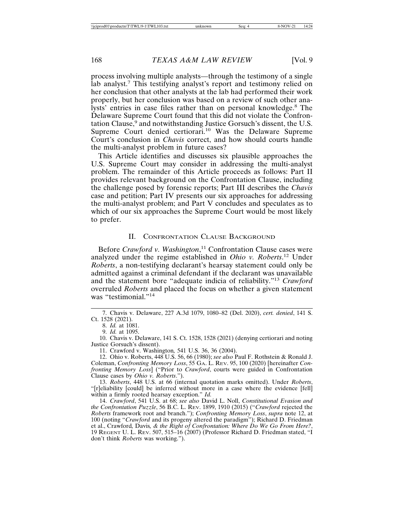process involving multiple analysts—through the testimony of a single lab analyst.<sup>7</sup> This testifying analyst's report and testimony relied on her conclusion that other analysts at the lab had performed their work properly, but her conclusion was based on a review of such other analysts' entries in case files rather than on personal knowledge.<sup>8</sup> The Delaware Supreme Court found that this did not violate the Confrontation Clause,<sup>9</sup> and notwithstanding Justice Gorsuch's dissent, the U.S. Supreme Court denied certiorari.<sup>10</sup> Was the Delaware Supreme Court's conclusion in *Chavis* correct, and how should courts handle the multi-analyst problem in future cases?

This Article identifies and discusses six plausible approaches the U.S. Supreme Court may consider in addressing the multi-analyst problem. The remainder of this Article proceeds as follows: Part II provides relevant background on the Confrontation Clause, including the challenge posed by forensic reports; Part III describes the *Chavis* case and petition; Part IV presents our six approaches for addressing the multi-analyst problem; and Part V concludes and speculates as to which of our six approaches the Supreme Court would be most likely to prefer.

#### II. CONFRONTATION CLAUSE BACKGROUND

Before *Crawford v. Washington*, 11 Confrontation Clause cases were analyzed under the regime established in *Ohio v. Roberts*. 12 Under *Roberts*, a non-testifying declarant's hearsay statement could only be admitted against a criminal defendant if the declarant was unavailable and the statement bore "adequate indicia of reliability."<sup>13</sup> *Crawford* overruled *Roberts* and placed the focus on whether a given statement was "testimonial."<sup>14</sup>

7. Chavis v. Delaware, 227 A.3d 1079, 1080–82 (Del. 2020), *cert. denied*, 141 S. Ct. 1528 (2021).

8. *Id.* at 1081.

9. *Id.* at 1095.

10. Chavis v. Delaware, 141 S. Ct. 1528, 1528 (2021) (denying certiorari and noting Justice Gorsuch's dissent).

11. Crawford v. Washington*,* 541 U.S. 36, 36 (2004).

12. Ohio v. Roberts, 448 U.S. 56, 66 (1980); *see also* Paul F. Rothstein & Ronald J. Coleman, *Confronting Memory Loss*, 55 GA. L. REV. 95, 100 (2020) [hereinafter *Confronting Memory Loss*] ("Prior to *Crawford*, courts were guided in Confrontation Clause cases by *Ohio v. Roberts*.").

13. *Roberts*, 448 U.S. at 66 (internal quotation marks omitted). Under *Roberts*, "[r]eliability [could] be inferred without more in a case where the evidence [fell] within a firmly rooted hearsay exception." *Id.*

14. *Crawford*, 541 U.S. at 68; *see also* David L. Noll, *Constitutional Evasion and the Confrontation Puzzle*, 56 B.C. L. REV. 1899, 1910 (2015) ("*Crawford* rejected the *Roberts* framework root and branch."); *Confronting Memory Loss*, *supra* note 12, at 100 (noting "*Crawford* and its progeny altered the paradigm"); Richard D. Friedman et al., Crawford*,* Davis*, & the Right of Confrontation: Where Do We Go From Here?*, 19 REGENT U. L. REV. 507, 515–16 (2007) (Professor Richard D. Friedman stated, "I don't think *Roberts* was working.").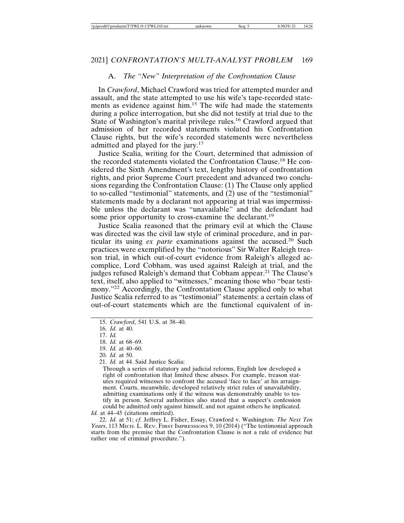## A. *The "New" Interpretation of the Confrontation Clause*

In *Crawford*, Michael Crawford was tried for attempted murder and assault, and the state attempted to use his wife's tape-recorded statements as evidence against him.<sup>15</sup> The wife had made the statements during a police interrogation, but she did not testify at trial due to the State of Washington's marital privilege rules.<sup>16</sup> Crawford argued that admission of her recorded statements violated his Confrontation Clause rights, but the wife's recorded statements were nevertheless admitted and played for the jury.<sup>17</sup>

Justice Scalia, writing for the Court, determined that admission of the recorded statements violated the Confrontation Clause.18 He considered the Sixth Amendment's text, lengthy history of confrontation rights, and prior Supreme Court precedent and advanced two conclusions regarding the Confrontation Clause: (1) The Clause only applied to so-called "testimonial" statements, and  $(2)$  use of the "testimonial" statements made by a declarant not appearing at trial was impermissible unless the declarant was "unavailable" and the defendant had some prior opportunity to cross-examine the declarant.<sup>19</sup>

Justice Scalia reasoned that the primary evil at which the Clause was directed was the civil law style of criminal procedure, and in particular its using *ex parte* examinations against the accused.20 Such practices were exemplified by the "notorious" Sir Walter Raleigh treason trial, in which out-of-court evidence from Raleigh's alleged accomplice, Lord Cobham, was used against Raleigh at trial, and the judges refused Raleigh's demand that Cobham appear.<sup>21</sup> The Clause's text, itself, also applied to "witnesses," meaning those who "bear testimony."<sup>22</sup> Accordingly, the Confrontation Clause applied only to what Justice Scalia referred to as "testimonial" statements: a certain class of out-of-court statements which are the functional equivalent of in-

- 19. *Id.* at 40–60.
- 20. *Id.* at 50.

21. *Id.* at 44. Said Justice Scalia:

Through a series of statutory and judicial reforms, English law developed a right of confrontation that limited these abuses. For example, treason statutes required witnesses to confront the accused 'face to face' at his arraignment. Courts, meanwhile, developed relatively strict rules of unavailability, admitting examinations only if the witness was demonstrably unable to testify in person. Several authorities also stated that a suspect's confession could be admitted only against himself, and not against others he implicated.

Id. at 44–45 (citations omitted).

22. *Id.* at 51; *cf.* Jeffrey L. Fisher, Essay, Crawford v. Washington*: The Next Ten Years*, 113 MICH. L. REV. FIRST IMPRESSIONS 9, 10 (2014) ("The testimonial approach starts from the premise that the Confrontation Clause is not a rule of evidence but rather one of criminal procedure.").

<sup>15.</sup> *Crawford*, 541 U.S. at 38–40.

<sup>16.</sup> *Id.* at 40.

<sup>17.</sup> *Id.*

<sup>18.</sup> *Id.* at 68–69.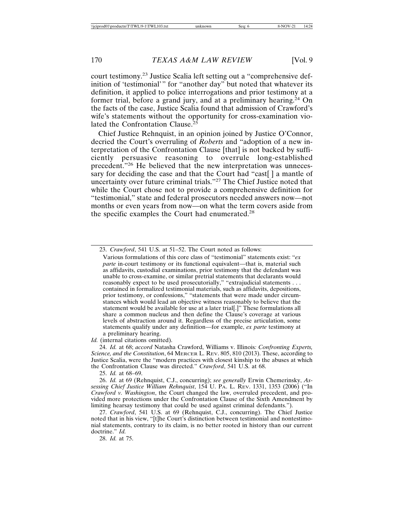court testimony.23 Justice Scalia left setting out a "comprehensive definition of 'testimonial'" for "another day" but noted that whatever its definition, it applied to police interrogations and prior testimony at a former trial, before a grand jury, and at a preliminary hearing.<sup>24</sup> On the facts of the case, Justice Scalia found that admission of Crawford's wife's statements without the opportunity for cross-examination violated the Confrontation Clause.<sup>25</sup>

Chief Justice Rehnquist, in an opinion joined by Justice O'Connor, decried the Court's overruling of *Roberts* and "adoption of a new interpretation of the Confrontation Clause [that] is not backed by sufficiently persuasive reasoning to overrule long-established precedent."26 He believed that the new interpretation was unnecessary for deciding the case and that the Court had "cast[ ] a mantle of uncertainty over future criminal trials."27 The Chief Justice noted that while the Court chose not to provide a comprehensive definition for "testimonial," state and federal prosecutors needed answers now—not months or even years from now—on what the term covers aside from the specific examples the Court had enumerated.<sup>28</sup>

*Id.* (internal citations omitted).

24. *Id.* at 68; *accord* Natasha Crawford, Williams v. Illinois*: Confronting Experts, Science, and the Constitution*, 64 MERCER L. REV. 805, 810 (2013). These, according to Justice Scalia, were the "modern practices with closest kinship to the abuses at which the Confrontation Clause was directed." *Crawford*, 541 U.S. at 68.

25. *Id.* at 68–69.

26. *Id.* at 69 (Rehnquist, C.J., concurring); *see generally* Erwin Chemerinsky, *Assessing Chief Justice William Rehnquist*, 154 U. PA. L. REV. 1331, 1353 (2006) ("In *Crawford v. Washington*, the Court changed the law, overruled precedent, and provided more protections under the Confrontation Clause of the Sixth Amendment by limiting hearsay testimony that could be used against criminal defendants.").

27. *Crawford*, 541 U.S. at 69 (Rehnquist, C.J., concurring). The Chief Justice noted that in his view, "[t]he Court's distinction between testimonial and nontestimonial statements, contrary to its claim, is no better rooted in history than our current doctrine." *Id.*

28. *Id.* at 75.

<sup>23.</sup> *Crawford*, 541 U.S. at 51–52. The Court noted as follows:

Various formulations of this core class of "testimonial" statements exist: "*ex parte* in-court testimony or its functional equivalent—that is, material such as affidavits, custodial examinations, prior testimony that the defendant was unable to cross-examine, or similar pretrial statements that declarants would reasonably expect to be used prosecutorially," "extrajudicial statements . . . contained in formalized testimonial materials, such as affidavits, depositions, prior testimony, or confessions," "statements that were made under circumstances which would lead an objective witness reasonably to believe that the statement would be available for use at a later trial[.]" These formulations all share a common nucleus and then define the Clause's coverage at various levels of abstraction around it. Regardless of the precise articulation, some statements qualify under any definition—for example, *ex parte* testimony at a preliminary hearing.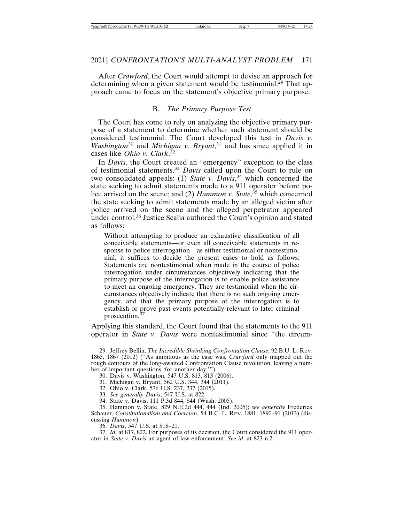After *Crawford*, the Court would attempt to devise an approach for determining when a given statement would be testimonial.<sup>29</sup> That approach came to focus on the statement's objective primary purpose.

#### B. *The Primary Purpose Test*

The Court has come to rely on analyzing the objective primary purpose of a statement to determine whether such statement should be considered testimonial. The Court developed this test in *Davis v. Washington*30 and *Michigan v. Bryant*, 31 and has since applied it in cases like *Ohio v. Clark*. 32

In *Davis*, the Court created an "emergency" exception to the class of testimonial statements.<sup>33</sup> *Davis* called upon the Court to rule on two consolidated appeals: (1) *State v. Davis*, 34 which concerned the state seeking to admit statements made to a 911 operator before police arrived on the scene; and (2) *Hammon v. State*, 35 which concerned the state seeking to admit statements made by an alleged victim after police arrived on the scene and the alleged perpetrator appeared under control.<sup>36</sup> Justice Scalia authored the Court's opinion and stated as follows:

Without attempting to produce an exhaustive classification of all conceivable statements—or even all conceivable statements in response to police interrogation—as either testimonial or nontestimonial, it suffices to decide the present cases to hold as follows: Statements are nontestimonial when made in the course of police interrogation under circumstances objectively indicating that the primary purpose of the interrogation is to enable police assistance to meet an ongoing emergency. They are testimonial when the circumstances objectively indicate that there is no such ongoing emergency, and that the primary purpose of the interrogation is to establish or prove past events potentially relevant to later criminal prosecution.37

Applying this standard, the Court found that the statements to the 911 operator in *State v. Davis* were nontestimonial since "the circum-

- 32. Ohio v. Clark, 576 U.S. 237, 237 (2015).
- 33. *See generally Davis*, 547 U.S. at 822.
- 34. State v. Davis, 111 P.3d 844, 844 (Wash. 2005).

35. Hammon v. State, 829 N.E.2d 444, 444 (Ind. 2005); *see generally* Frederick Schauer, *Constitutionalism and Coercion*, 54 B.C. L. REV. 1881, 1890–91 (2013) (discussing *Hammon*).

36. *Davis*, 547 U.S. at 818–21.

37. *Id.* at 817, 822. For purposes of its decision, the Court considered the 911 operator in *State v. Davis* an agent of law enforcement. *See id.* at 823 n.2.

<sup>29.</sup> Jeffrey Bellin, *The Incredible Shrinking Confrontation Clause*, 92 B.U. L. REV. 1865, 1867 (2012) ("As ambitious as the case was, *Crawford* only mapped out the rough contours of the long-awaited Confrontation Clause revolution, leaving a number of important questions 'for another day.'").

<sup>30.</sup> Davis v. Washington, 547 U.S. 813, 813 (2006).

<sup>31.</sup> Michigan v. Bryant, 562 U.S. 344, 344 (2011).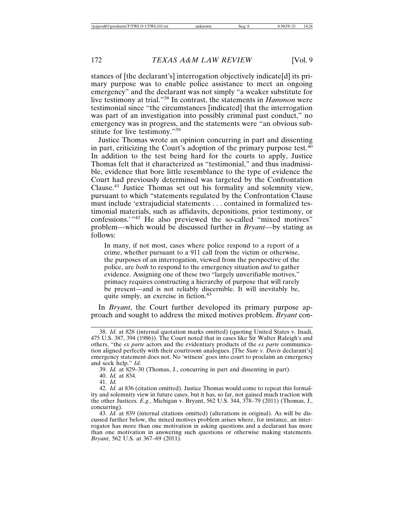stances of [the declarant's] interrogation objectively indicate[d] its primary purpose was to enable police assistance to meet an ongoing emergency" and the declarant was not simply "a weaker substitute for live testimony at trial."38 In contrast, the statements in *Hammon* were testimonial since "the circumstances [indicated] that the interrogation was part of an investigation into possibly criminal past conduct," no emergency was in progress, and the statements were "an obvious substitute for live testimony."<sup>39</sup>

Justice Thomas wrote an opinion concurring in part and dissenting in part, criticizing the Court's adoption of the primary purpose test. $40$ In addition to the test being hard for the courts to apply, Justice Thomas felt that it characterized as "testimonial," and thus inadmissible, evidence that bore little resemblance to the type of evidence the Court had previously determined was targeted by the Confrontation Clause.41 Justice Thomas set out his formality and solemnity view, pursuant to which "statements regulated by the Confrontation Clause must include 'extrajudicial statements . . . contained in formalized testimonial materials, such as affidavits, depositions, prior testimony, or confessions.'"42 He also previewed the so-called "mixed motives" problem—which would be discussed further in *Bryant*—by stating as follows:

In many, if not most, cases where police respond to a report of a crime, whether pursuant to a 911 call from the victim or otherwise, the purposes of an interrogation, viewed from the perspective of the police, are *both* to respond to the emergency situation *and* to gather evidence. Assigning one of these two "largely unverifiable motives," primacy requires constructing a hierarchy of purpose that will rarely be present—and is not reliably discernible. It will inevitably be, quite simply, an exercise in fiction.<sup>43</sup>

In *Bryant*, the Court further developed its primary purpose approach and sought to address the mixed motives problem. *Bryant* con-

41. *Id.*

<sup>38.</sup> *Id.* at 828 (internal quotation marks omitted) (quoting United States v. Inadi, 475 U.S. 387, 394 (1986)). The Court noted that in cases like Sir Walter Raleigh's and others, "the *ex parte* actors and the evidentiary products of the *ex parte* communication aligned perfectly with their courtroom analogues. [The *State v. Davis* declarant's] emergency statement does not. No 'witness' goes into court to proclaim an emergency and seek help." *Id.*

<sup>39.</sup> *Id.* at 829–30 (Thomas, J., concurring in part and dissenting in part).

<sup>40.</sup> *Id.* at 834.

<sup>42.</sup> *Id.* at 836 (citation omitted). Justice Thomas would come to repeat this formality and solemnity view in future cases, but it has, so far, not gained much traction with the other Justices. *E.g.*, Michigan v. Bryant, 562 U.S. 344, 378–79 (2011) (Thomas, J., concurring).

<sup>43.</sup> *Id.* at 839 (internal citations omitted) (alterations in original). As will be discussed further below, the mixed motives problem arises where, for instance, an interrogator has more than one motivation in asking questions and a declarant has more than one motivation in answering such questions or otherwise making statements. *Bryant*, 562 U.S. at 367–69 (2011).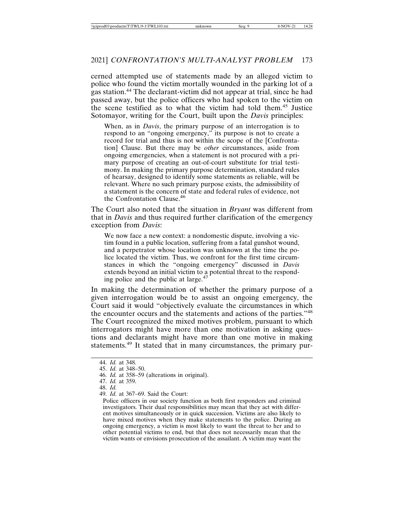cerned attempted use of statements made by an alleged victim to police who found the victim mortally wounded in the parking lot of a gas station.44 The declarant-victim did not appear at trial, since he had passed away, but the police officers who had spoken to the victim on the scene testified as to what the victim had told them.45 Justice Sotomayor, writing for the Court, built upon the *Davis* principles:

When, as in *Davis*, the primary purpose of an interrogation is to respond to an "ongoing emergency," its purpose is not to create a record for trial and thus is not within the scope of the [Confrontation] Clause. But there may be *other* circumstances, aside from ongoing emergencies, when a statement is not procured with a primary purpose of creating an out-of-court substitute for trial testimony. In making the primary purpose determination, standard rules of hearsay, designed to identify some statements as reliable, will be relevant. Where no such primary purpose exists, the admissibility of a statement is the concern of state and federal rules of evidence, not the Confrontation Clause.<sup>46</sup>

The Court also noted that the situation in *Bryant* was different from that in *Davis* and thus required further clarification of the emergency exception from *Davis*:

We now face a new context: a nondomestic dispute, involving a victim found in a public location, suffering from a fatal gunshot wound, and a perpetrator whose location was unknown at the time the police located the victim. Thus, we confront for the first time circumstances in which the "ongoing emergency" discussed in *Davis* extends beyond an initial victim to a potential threat to the responding police and the public at large.<sup>47</sup>

In making the determination of whether the primary purpose of a given interrogation would be to assist an ongoing emergency, the Court said it would "objectively evaluate the circumstances in which the encounter occurs and the statements and actions of the parties."<sup>48</sup> The Court recognized the mixed motives problem, pursuant to which interrogators might have more than one motivation in asking questions and declarants might have more than one motive in making statements.49 It stated that in many circumstances, the primary pur-

<sup>44.</sup> *Id.* at 348.

<sup>45.</sup> *Id.* at 348–50.

<sup>46.</sup> *Id.* at 358–59 (alterations in original).

<sup>47.</sup> *Id.* at 359.

<sup>48.</sup> *Id.*

<sup>49.</sup> *Id.* at 367–69. Said the Court:

Police officers in our society function as both first responders and criminal investigators. Their dual responsibilities may mean that they act with different motives simultaneously or in quick succession. Victims are also likely to have mixed motives when they make statements to the police. During an ongoing emergency, a victim is most likely to want the threat to her and to other potential victims to end, but that does not necessarily mean that the victim wants or envisions prosecution of the assailant. A victim may want the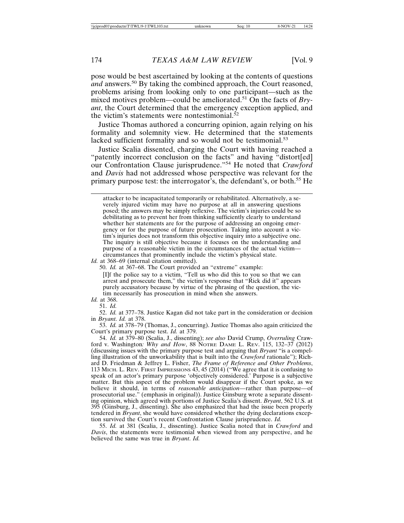pose would be best ascertained by looking at the contents of questions and answers.<sup>50</sup> By taking the combined approach, the Court reasoned, problems arising from looking only to one participant—such as the mixed motives problem—could be ameliorated.51 On the facts of *Bryant*, the Court determined that the emergency exception applied, and the victim's statements were nontestimonial. $52$ 

Justice Thomas authored a concurring opinion, again relying on his formality and solemnity view. He determined that the statements lacked sufficient formality and so would not be testimonial.<sup>53</sup>

Justice Scalia dissented, charging the Court with having reached a "patently incorrect conclusion on the facts" and having "distort[ed] our Confrontation Clause jurisprudence."54 He noted that *Crawford* and *Davis* had not addressed whose perspective was relevant for the primary purpose test: the interrogator's, the defendant's, or both.55 He

attacker to be incapacitated temporarily or rehabilitated. Alternatively, a severely injured victim may have no purpose at all in answering questions posed; the answers may be simply reflexive. The victim's injuries could be so debilitating as to prevent her from thinking sufficiently clearly to understand whether her statements are for the purpose of addressing an ongoing emergency or for the purpose of future prosecution. Taking into account a victim's injuries does not transform this objective inquiry into a subjective one. The inquiry is still objective because it focuses on the understanding and purpose of a reasonable victim in the circumstances of the actual victim circumstances that prominently include the victim's physical state.

*Id.* at 368–69 (internal citation omitted).

50. *Id.* at 367–68. The Court provided an "extreme" example:

[I]f the police say to a victim, "Tell us who did this to you so that we can arrest and prosecute them," the victim's response that "Rick did it" appears purely accusatory because by virtue of the phrasing of the question, the victim necessarily has prosecution in mind when she answers.

*Id.* at 368.

51. *Id.*

52. *Id.* at 377–78. Justice Kagan did not take part in the consideration or decision in *Bryant*. *Id.* at 378.

53. *Id.* at 378–79 (Thomas, J., concurring). Justice Thomas also again criticized the Court's primary purpose test. *Id.* at 379.

54. *Id.* at 379–80 (Scalia, J., dissenting); *see also* David Crump, *Overruling* Crawford v. Washington*: Why and How*, 88 NOTRE DAME L. REV. 115, 132–37 (2012) (discussing issues with the primary purpose test and arguing that *Bryant* "is a compelling illustration of the unworkability that is built into the *Crawford* rationale"); Richard D. Friedman & Jeffrey L. Fisher, *The Frame of Reference and Other Problems*, 113 MICH. L. REV. FIRST IMPRESSIONS 43, 45 (2014) ("We agree that it is confusing to speak of an actor's primary purpose 'objectively considered.' Purpose is a subjective matter. But this aspect of the problem would disappear if the Court spoke, as we believe it should, in terms of *reasonable anticipation*—rather than purpose—of prosecutorial use." (emphasis in original)). Justice Ginsburg wrote a separate dissenting opinion, which agreed with portions of Justice Scalia's dissent. *Bryant*, 562 U.S. at 395 (Ginsburg, J., dissenting). She also emphasized that had the issue been properly tendered in *Bryant*, she would have considered whether the dying declarations exception survived the Court's recent Confrontation Clause jurisprudence. *Id.*

55. *Id.* at 381 (Scalia, J., dissenting). Justice Scalia noted that in *Crawford* and *Davis*, the statements were testimonial when viewed from any perspective, and he believed the same was true in *Bryant*. *Id.*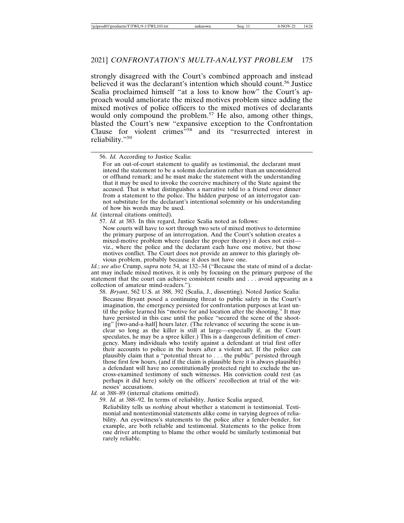strongly disagreed with the Court's combined approach and instead believed it was the declarant's intention which should count.<sup>56</sup> Justice Scalia proclaimed himself "at a loss to know how" the Court's approach would ameliorate the mixed motives problem since adding the mixed motives of police officers to the mixed motives of declarants would only compound the problem.<sup>57</sup> He also, among other things, blasted the Court's new "expansive exception to the Confrontation Clause for violent crimes<sup>"58</sup> and its "resurrected interest in reliability."59

*Id.* (internal citations omitted).

57. *Id.* at 383. In this regard, Justice Scalia noted as follows:

Now courts will have to sort through two sets of mixed motives to determine the primary purpose of an interrogation. And the Court's solution creates a mixed-motive problem where (under the proper theory) it does not exist viz., where the police and the declarant each have one motive, but those motives conflict. The Court does not provide an answer to this glaringly obvious problem, probably because it does not have one.

*Id.*; *see also* Crump, *supra* note 54, at 132–34 ("Because the state of mind of a declarant may include mixed motives, it is only by focusing on the primary purpose of the statement that the court can achieve consistent results and . . . avoid appearing as a collection of amateur mind-readers.").

58. *Bryant*, 562 U.S. at 388, 392 (Scalia, J., dissenting). Noted Justice Scalia: Because Bryant posed a continuing threat to public safety in the Court's imagination, the emergency persisted for confrontation purposes at least until the police learned his "motive for and location after the shooting." It may have persisted in this case until the police "secured the scene of the shooting" [two-and-a-half] hours later. (The relevance of securing the scene is unclear so long as the killer is still at large—especially if, as the Court speculates, he may be a spree killer.) This is a dangerous definition of emergency. Many individuals who testify against a defendant at trial first offer their accounts to police in the hours after a violent act. If the police can plausibly claim that a "potential threat to . . . the public" persisted through those first few hours, (and if the claim is plausible here it is always plausible) a defendant will have no constitutionally protected right to exclude the uncross-examined testimony of such witnesses. His conviction could rest (as perhaps it did here) solely on the officers' recollection at trial of the witnesses' accusations.

*Id.* at 388–89 (internal citations omitted).

59. *Id.* at 388–92. In terms of reliability, Justice Scalia argued,

Reliability tells us *nothing* about whether a statement is testimonial. Testimonial and nontestimonial statements alike come in varying degrees of reliability. An eyewitness's statements to the police after a fender-bender, for example, are both reliable and testimonial. Statements to the police from one driver attempting to blame the other would be similarly testimonial but rarely reliable.

<sup>56.</sup> *Id.* According to Justice Scalia:

For an out-of-court statement to qualify as testimonial, the declarant must intend the statement to be a solemn declaration rather than an unconsidered or offhand remark; and he must make the statement with the understanding that it may be used to invoke the coercive machinery of the State against the accused. That is what distinguishes a narrative told to a friend over dinner from a statement to the police. The hidden purpose of an interrogator cannot substitute for the declarant's intentional solemnity or his understanding of how his words may be used.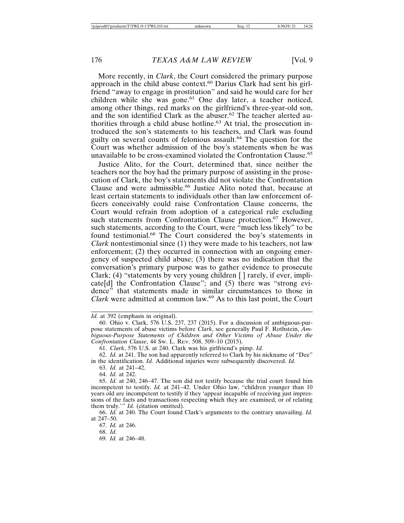More recently, in *Clark*, the Court considered the primary purpose approach in the child abuse context.<sup>60</sup> Darius Clark had sent his girlfriend "away to engage in prostitution" and said he would care for her children while she was gone.<sup>61</sup> One day later, a teacher noticed, among other things, red marks on the girlfriend's three-year-old son, and the son identified Clark as the abuser.<sup>62</sup> The teacher alerted authorities through a child abuse hotline.<sup>63</sup> At trial, the prosecution introduced the son's statements to his teachers, and Clark was found guilty on several counts of felonious assault.<sup>64</sup> The question for the Court was whether admission of the boy's statements when he was unavailable to be cross-examined violated the Confrontation Clause.<sup>65</sup>

Justice Alito, for the Court, determined that, since neither the teachers nor the boy had the primary purpose of assisting in the prosecution of Clark, the boy's statements did not violate the Confrontation Clause and were admissible.66 Justice Alito noted that, because at least certain statements to individuals other than law enforcement officers conceivably could raise Confrontation Clause concerns, the Court would refrain from adoption of a categorical rule excluding such statements from Confrontation Clause protection.<sup>67</sup> However, such statements, according to the Court, were "much less likely" to be found testimonial.68 The Court considered the boy's statements in *Clark* nontestimonial since (1) they were made to his teachers, not law enforcement; (2) they occurred in connection with an ongoing emergency of suspected child abuse; (3) there was no indication that the conversation's primary purpose was to gather evidence to prosecute Clark; (4) "statements by very young children [ ] rarely, if ever, implicate[d] the Confrontation Clause"; and (5) there was "strong evidence" that statements made in similar circumstances to those in *Clark* were admitted at common law.69 As to this last point, the Court

63. *Id.* at 241–42.

64. *Id.* at 242.

*Id.* at 392 (emphasis in original).

<sup>60.</sup> Ohio v. Clark, 576 U.S. 237, 237 (2015). For a discussion of ambiguous-purpose statements of abuse victims before *Clark*, see generally Paul F. Rothstein, *Ambiguous-Purpose Statements of Children and Other Victims of Abuse Under the Confrontation Clause*, 44 SW. L. REV. 508, 509–10 (2015).

<sup>61.</sup> *Clark*, 576 U.S. at 240. Clark was his girlfriend's pimp. *Id.*

<sup>62.</sup> *Id.* at 241. The son had apparently referred to Clark by his nickname of "Dee" in the identification. *Id.* Additional injuries were subsequently discovered. *Id.*

<sup>65.</sup> *Id.* at 240, 246–47. The son did not testify because the trial court found him incompetent to testify. *Id.* at 241–42. Under Ohio law, "children younger than 10 years old are incompetent to testify if they 'appear incapable of receiving just impressions of the facts and transactions respecting which they are examined, or of relating them truly.'" *Id.* (citation omitted).

<sup>66.</sup> *Id.* at 240. The Court found Clark's arguments to the contrary unavailing. *Id.* at 247–50.

<sup>67.</sup> *Id.* at 246.

<sup>68.</sup> *Id.*

<sup>69.</sup> *Id.* at 246–48.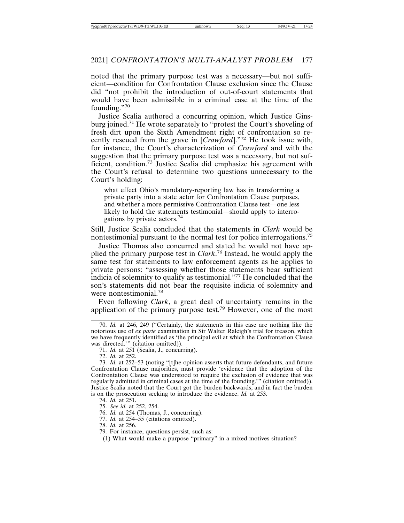noted that the primary purpose test was a necessary—but not sufficient—condition for Confrontation Clause exclusion since the Clause did "not prohibit the introduction of out-of-court statements that would have been admissible in a criminal case at the time of the founding."70

Justice Scalia authored a concurring opinion, which Justice Ginsburg joined.71 He wrote separately to "protest the Court's shoveling of fresh dirt upon the Sixth Amendment right of confrontation so recently rescued from the grave in [*Crawford*]."72 He took issue with, for instance, the Court's characterization of *Crawford* and with the suggestion that the primary purpose test was a necessary, but not sufficient, condition.73 Justice Scalia did emphasize his agreement with the Court's refusal to determine two questions unnecessary to the Court's holding:

what effect Ohio's mandatory-reporting law has in transforming a private party into a state actor for Confrontation Clause purposes, and whether a more permissive Confrontation Clause test—one less likely to hold the statements testimonial—should apply to interrogations by private actors.<sup>74</sup>

Still, Justice Scalia concluded that the statements in *Clark* would be nontestimonial pursuant to the normal test for police interrogations.<sup>75</sup>

Justice Thomas also concurred and stated he would not have applied the primary purpose test in *Clark*. 76 Instead, he would apply the same test for statements to law enforcement agents as he applies to private persons: "assessing whether those statements bear sufficient indicia of solemnity to qualify as testimonial."<sup>77</sup> He concluded that the son's statements did not bear the requisite indicia of solemnity and were nontestimonial.<sup>78</sup>

Even following *Clark*, a great deal of uncertainty remains in the application of the primary purpose test.<sup>79</sup> However, one of the most

72. *Id.* at 252.

- 77. *Id.* at 254–55 (citations omitted).
- 78. *Id.* at 256.

(1) What would make a purpose "primary" in a mixed motives situation?

<sup>70.</sup> *Id.* at 246, 249 ("Certainly, the statements in this case are nothing like the notorious use of *ex parte* examination in Sir Walter Raleigh's trial for treason, which we have frequently identified as 'the principal evil at which the Confrontation Clause was directed.'" (citation omitted)).

<sup>71.</sup> *Id.* at 251 (Scalia, J., concurring).

<sup>73.</sup> *Id.* at 252–53 (noting "[t]he opinion asserts that future defendants, and future Confrontation Clause majorities, must provide 'evidence that the adoption of the Confrontation Clause was understood to require the exclusion of evidence that was regularly admitted in criminal cases at the time of the founding.'" (citation omitted)). Justice Scalia noted that the Court got the burden backwards, and in fact the burden is on the prosecution seeking to introduce the evidence. *Id.* at 253.

<sup>74.</sup> *Id.* at 251.

<sup>75.</sup> *See id.* at 252, 254.

<sup>76.</sup> *Id.* at 254 (Thomas, J., concurring).

<sup>79.</sup> For instance, questions persist, such as: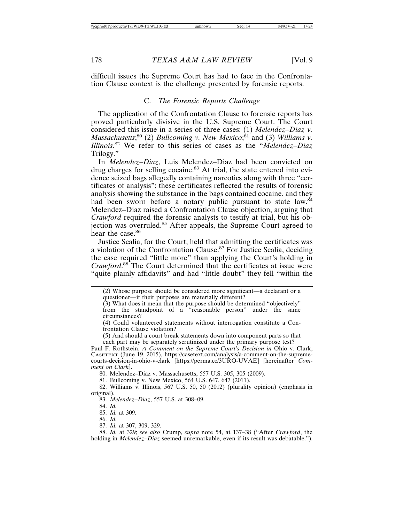difficult issues the Supreme Court has had to face in the Confrontation Clause context is the challenge presented by forensic reports.

#### C. *The Forensic Reports Challenge*

The application of the Confrontation Clause to forensic reports has proved particularly divisive in the U.S. Supreme Court. The Court considered this issue in a series of three cases: (1) *Melendez–Diaz v.* Massachusetts;<sup>80</sup> (2) *Bullcoming v. New Mexico*;<sup>81</sup> and (3) *Williams v. Illinois*. 82 We refer to this series of cases as the "*Melendez–Diaz* Trilogy."

In *Melendez*–*Diaz*, Luis Melendez–Diaz had been convicted on drug charges for selling cocaine.<sup>83</sup> At trial, the state entered into evidence seized bags allegedly containing narcotics along with three "certificates of analysis"; these certificates reflected the results of forensic analysis showing the substance in the bags contained cocaine, and they had been sworn before a notary public pursuant to state law.<sup>84</sup> Melendez–Diaz raised a Confrontation Clause objection, arguing that *Crawford* required the forensic analysts to testify at trial, but his objection was overruled.85 After appeals, the Supreme Court agreed to hear the case.<sup>86</sup>

Justice Scalia, for the Court, held that admitting the certificates was a violation of the Confrontation Clause.87 For Justice Scalia, deciding the case required "little more" than applying the Court's holding in *Crawford*. 88 The Court determined that the certificates at issue were "quite plainly affidavits" and had "little doubt" they fell "within the

(2) Whose purpose should be considered more significant—a declarant or a questioner—if their purposes are materially different?

(3) What does it mean that the purpose should be determined "objectively" from the standpoint of a "reasonable person" under the same circumstances?

(4) Could volunteered statements without interrogation constitute a Confrontation Clause violation?

(5) And should a court break statements down into component parts so that each part may be separately scrutinized under the primary purpose test?

Paul F. Rothstein, *A Comment on the Supreme Court's Decision in* Ohio v. Clark, CASETEXT (June 19, 2015), https://casetext.com/analysis/a-comment-on-the-supremecourts-decision-in-ohio-v-clark [https://perma.cc/3URQ-UVAE] [hereinafter *Comment on Clark*].

80. Melendez–Diaz v. Massachusetts, 557 U.S. 305, 305 (2009).

81. Bullcoming v. New Mexico, 564 U.S. 647, 647 (2011).

82. Williams v. Illinois, 567 U.S. 50, 50 (2012) (plurality opinion) (emphasis in original).

83. *Melendez*–*Diaz*, 557 U.S. at 308–09.

85. *Id.* at 309.

86. *Id.*

87. *Id.* at 307, 309, 329.

88. *Id.* at 329; *see also* Crump, *supra* note 54, at 137–38 ("After *Crawford*, the holding in *Melendez–Diaz* seemed unremarkable, even if its result was debatable.").

<sup>84.</sup> *Id.*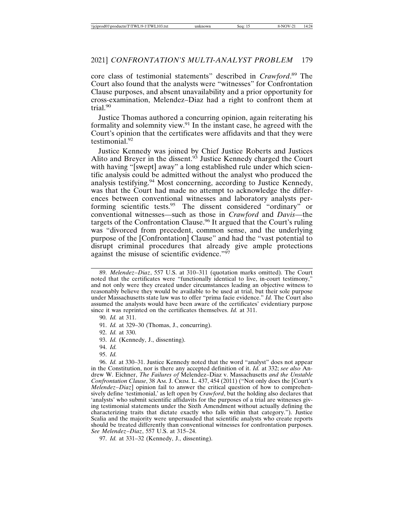core class of testimonial statements" described in *Crawford*. 89 The Court also found that the analysts were "witnesses" for Confrontation Clause purposes, and absent unavailability and a prior opportunity for cross-examination, Melendez–Diaz had a right to confront them at trial.90

Justice Thomas authored a concurring opinion, again reiterating his formality and solemnity view.<sup>91</sup> In the instant case, he agreed with the Court's opinion that the certificates were affidavits and that they were testimonial.92

Justice Kennedy was joined by Chief Justice Roberts and Justices Alito and Breyer in the dissent.<sup>93</sup> Justice Kennedy charged the Court with having "[swept] away" a long established rule under which scientific analysis could be admitted without the analyst who produced the analysis testifying.<sup>94</sup> Most concerning, according to Justice Kennedy, was that the Court had made no attempt to acknowledge the differences between conventional witnesses and laboratory analysts performing scientific tests.<sup>95</sup> The dissent considered "ordinary" or conventional witnesses—such as those in *Crawford* and *Davis*—the targets of the Confrontation Clause.<sup>96</sup> It argued that the Court's ruling was "divorced from precedent, common sense, and the underlying purpose of the [Confrontation] Clause" and had the "vast potential to disrupt criminal procedures that already give ample protections against the misuse of scientific evidence."<sup>97</sup>

- 93. *Id.* (Kennedy, J., dissenting).
- 94. *Id.*
- 95. *Id.*

97. *Id.* at 331–32 (Kennedy, J., dissenting).

<sup>89.</sup> *Melendez*–*Diaz*, 557 U.S. at 310–311 (quotation marks omitted). The Court noted that the certificates were "functionally identical to live, in-court testimony," and not only were they created under circumstances leading an objective witness to reasonably believe they would be available to be used at trial, but their sole purpose under Massachusetts state law was to offer "prima facie evidence." *Id.* The Court also assumed the analysts would have been aware of the certificates' evidentiary purpose since it was reprinted on the certificates themselves. *Id.* at 311.

<sup>90.</sup> *Id.* at 311.

<sup>91.</sup> *Id.* at 329–30 (Thomas, J., concurring).

<sup>92.</sup> *Id.* at 330.

<sup>96.</sup> *Id.* at 330–31. Justice Kennedy noted that the word "analyst" does not appear in the Constitution, nor is there any accepted definition of it. *Id.* at 332; *see also* Andrew W. Eichner, *The Failures of* Melendez–Diaz v. Massachusetts *and the Unstable Confrontation Clause*, 38 Am. J. CRIM. L. 437, 454 (2011) ("Not only does the [Court's *Melendez*–*Diaz*] opinion fail to answer the critical question of how to comprehensively define 'testimonial,' as left open by *Crawford*, but the holding also declares that 'analysts' who submit scientific affidavits for the purposes of a trial are witnesses giving testimonial statements under the Sixth Amendment without actually defining the characterizing traits that dictate exactly who falls within that category."). Justice Scalia and the majority were unpersuaded that scientific analysts who create reports should be treated differently than conventional witnesses for confrontation purposes. *See Melendez*–*Diaz*, 557 U.S. at 315–24.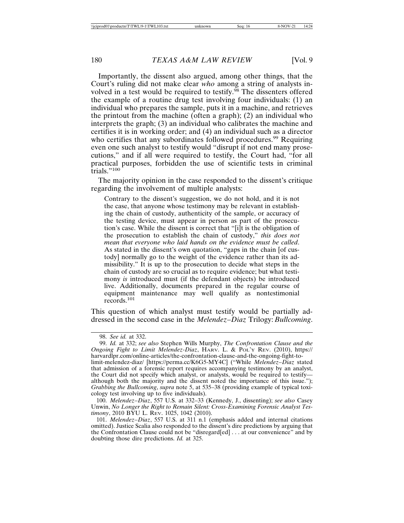Importantly, the dissent also argued, among other things, that the Court's ruling did not make clear *who* among a string of analysts involved in a test would be required to testify.<sup>98</sup> The dissenters offered the example of a routine drug test involving four individuals: (1) an individual who prepares the sample, puts it in a machine, and retrieves the printout from the machine (often a graph); (2) an individual who interprets the graph; (3) an individual who calibrates the machine and certifies it is in working order; and (4) an individual such as a director who certifies that any subordinates followed procedures.<sup>99</sup> Requiring even one such analyst to testify would "disrupt if not end many prosecutions," and if all were required to testify, the Court had, "for all practical purposes, forbidden the use of scientific tests in criminal trials."100

The majority opinion in the case responded to the dissent's critique regarding the involvement of multiple analysts:

Contrary to the dissent's suggestion, we do not hold, and it is not the case, that anyone whose testimony may be relevant in establishing the chain of custody, authenticity of the sample, or accuracy of the testing device, must appear in person as part of the prosecution's case. While the dissent is correct that "[i]t is the obligation of the prosecution to establish the chain of custody," *this does not mean that everyone who laid hands on the evidence must be called*. As stated in the dissent's own quotation, "gaps in the chain [of custody] normally go to the weight of the evidence rather than its admissibility." It is up to the prosecution to decide what steps in the chain of custody are so crucial as to require evidence; but what testimony *is* introduced must (if the defendant objects) be introduced live. Additionally, documents prepared in the regular course of equipment maintenance may well qualify as nontestimonial records.101

This question of which analyst must testify would be partially addressed in the second case in the *Melendez–Diaz* Trilogy: *Bullcoming*.

<sup>98.</sup> *See id.* at 332.

<sup>99.</sup> *Id.* at 332; *see also* Stephen Wills Murphy, *The Confrontation Clause and the Ongoing Fight to Limit Melendez-Diaz*, HARV. L. & POL'Y REV. (2010), https:// harvardlpr.com/online-articles/the-confrontation-clause-and-the-ongoing-fight-tolimit-melendez-diaz/ [https://perma.cc/K6G5-MY4C] ("While *Melendez–Diaz* stated that admission of a forensic report requires accompanying testimony by an analyst, the Court did not specify which analyst, or analysts, would be required to testify although both the majority and the dissent noted the importance of this issue."); *Grabbing the Bullcoming*, *supra* note 5, at 535–38 (providing example of typical toxicology test involving up to five individuals).

<sup>100.</sup> *Melendez*–*Diaz*, 557 U.S. at 332–33 (Kennedy, J., dissenting); *see also* Casey Unwin, *No Longer the Right to Remain Silent: Cross-Examining Forensic Analyst Testimony*, 2010 BYU L. REV. 1025, 1042 (2010).

<sup>101.</sup> *Melendez*–*Diaz*, 557 U.S. at 311 n.1 (emphasis added and internal citations omitted). Justice Scalia also responded to the dissent's dire predictions by arguing that the Confrontation Clause could not be "disregard[ed] . . . at our convenience" and by doubting those dire predictions. *Id.* at 325.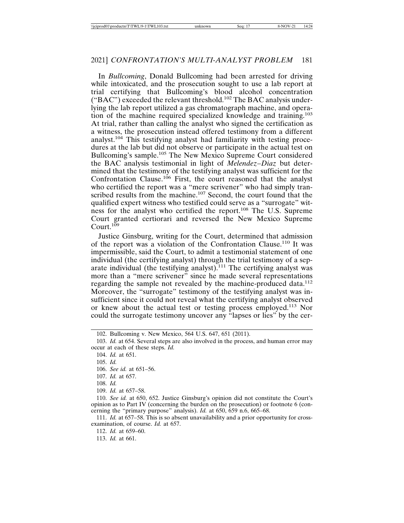In *Bullcoming*, Donald Bullcoming had been arrested for driving while intoxicated, and the prosecution sought to use a lab report at trial certifying that Bullcoming's blood alcohol concentration ("BAC") exceeded the relevant threshold.102 The BAC analysis underlying the lab report utilized a gas chromatograph machine, and operation of the machine required specialized knowledge and training.<sup>103</sup> At trial, rather than calling the analyst who signed the certification as a witness, the prosecution instead offered testimony from a different analyst.104 This testifying analyst had familiarity with testing procedures at the lab but did not observe or participate in the actual test on Bullcoming's sample.105 The New Mexico Supreme Court considered the BAC analysis testimonial in light of *Melendez–Diaz* but determined that the testimony of the testifying analyst was sufficient for the Confrontation Clause.<sup>106</sup> First, the court reasoned that the analyst who certified the report was a "mere scrivener" who had simply transcribed results from the machine.<sup>107</sup> Second, the court found that the qualified expert witness who testified could serve as a "surrogate" witness for the analyst who certified the report.108 The U.S. Supreme Court granted certiorari and reversed the New Mexico Supreme Court. $109$ 

Justice Ginsburg, writing for the Court, determined that admission of the report was a violation of the Confrontation Clause.110 It was impermissible, said the Court, to admit a testimonial statement of one individual (the certifying analyst) through the trial testimony of a separate individual (the testifying analyst).<sup>111</sup> The certifying analyst was more than a "mere scrivener" since he made several representations regarding the sample not revealed by the machine-produced data.<sup>112</sup> Moreover, the "surrogate" testimony of the testifying analyst was insufficient since it could not reveal what the certifying analyst observed or knew about the actual test or testing process employed.113 Nor could the surrogate testimony uncover any "lapses or lies" by the cer-

108. *Id.*

109. *Id.* at 657–58.

110. *See id.* at 650, 652. Justice Ginsburg's opinion did not constitute the Court's opinion as to Part IV (concerning the burden on the prosecution) or footnote 6 (concerning the "primary purpose" analysis). *Id.* at 650, 659 n.6, 665–68.

111. *Id.* at 657–58. This is so absent unavailability and a prior opportunity for crossexamination, of course. *Id.* at 657.

112. *Id.* at 659–60.

113. *Id.* at 661.

<sup>102.</sup> Bullcoming v. New Mexico, 564 U.S. 647, 651 (2011).

<sup>103.</sup> *Id.* at 654. Several steps are also involved in the process, and human error may occur at each of these steps. *Id.*

<sup>104.</sup> *Id.* at 651.

<sup>105.</sup> *Id.*

<sup>106.</sup> *See id.* at 651–56.

<sup>107.</sup> *Id.* at 657.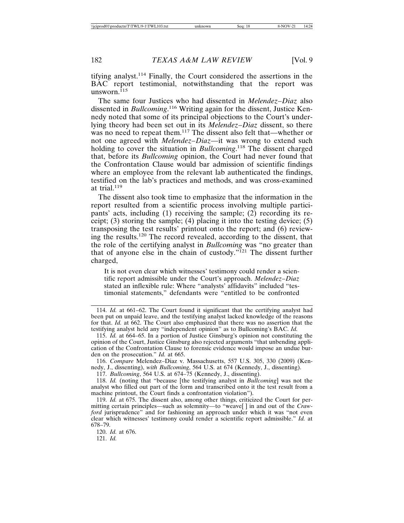tifying analyst.114 Finally, the Court considered the assertions in the BAC report testimonial, notwithstanding that the report was unsworn. $115$ 

The same four Justices who had dissented in *Melendez–Diaz* also dissented in *Bullcoming*. 116 Writing again for the dissent, Justice Kennedy noted that some of its principal objections to the Court's underlying theory had been set out in its *Melendez–Diaz* dissent, so there was no need to repeat them.<sup>117</sup> The dissent also felt that—whether or not one agreed with *Melendez–Diaz*—it was wrong to extend such holding to cover the situation in *Bullcoming*.<sup>118</sup> The dissent charged that, before its *Bullcoming* opinion, the Court had never found that the Confrontation Clause would bar admission of scientific findings where an employee from the relevant lab authenticated the findings, testified on the lab's practices and methods, and was cross-examined at trial.<sup>119</sup>

The dissent also took time to emphasize that the information in the report resulted from a scientific process involving multiple participants' acts, including (1) receiving the sample; (2) recording its receipt; (3) storing the sample; (4) placing it into the testing device;  $(5)$ transposing the test results' printout onto the report; and (6) reviewing the results.120 The record revealed, according to the dissent, that the role of the certifying analyst in *Bullcoming* was "no greater than that of anyone else in the chain of custody." $^{121}$  The dissent further charged,

It is not even clear which witnesses' testimony could render a scientific report admissible under the Court's approach. *Melendez–Diaz* stated an inflexible rule: Where "analysts' affidavits" included "testimonial statements," defendants were "entitled to be confronted

117. *Bullcoming*, 564 U.S. at 674–75 (Kennedy, J., dissenting).

120. *Id.* at 676. 121. *Id.*

<sup>114.</sup> *Id.* at 661–62. The Court found it significant that the certifying analyst had been put on unpaid leave, and the testifying analyst lacked knowledge of the reasons for that. *Id.* at 662. The Court also emphasized that there was no assertion that the testifying analyst held any "independent opinion" as to Bullcoming's BAC. *Id.*

<sup>115.</sup> *Id.* at 664–65. In a portion of Justice Ginsburg's opinion not constituting the opinion of the Court, Justice Ginsburg also rejected arguments "that unbending application of the Confrontation Clause to forensic evidence would impose an undue burden on the prosecution." *Id.* at 665.

<sup>116.</sup> *Compare* Melendez–Diaz v. Massachusetts, 557 U.S. 305, 330 (2009) (Kennedy, J., dissenting), *with Bullcoming*, 564 U.S. at 674 (Kennedy, J., dissenting).

<sup>118.</sup> *Id.* (noting that "because [the testifying analyst in *Bullcoming*] was not the analyst who filled out part of the form and transcribed onto it the test result from a machine printout, the Court finds a confrontation violation").

<sup>119.</sup> *Id.* at 675. The dissent also, among other things, criticized the Court for permitting certain principles—such as solemnity—to "weave[ ] in and out of the *Crawford* jurisprudence" and for fashioning an approach under which it was "not even clear which witnesses' testimony could render a scientific report admissible." *Id.* at 678–79.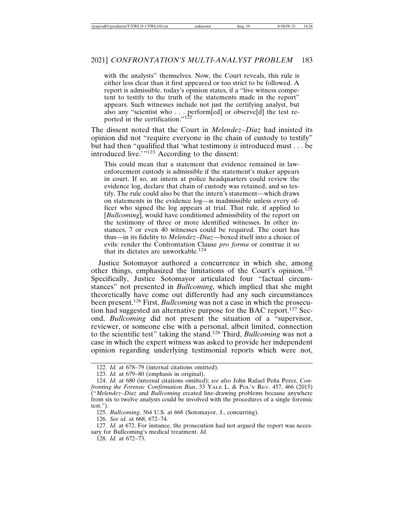with the analysts" themselves. Now, the Court reveals, this rule is either less clear than it first appeared or too strict to be followed. A report is admissible, today's opinion states, if a "live witness competent to testify to the truth of the statements made in the report" appears. Such witnesses include not just the certifying analyst, but also any "scientist who . . . perform[ed] or observe[d] the test reported in the certification." $122$ 

The dissent noted that the Court in *Melendez–Diaz* had insisted its opinion did not "require everyone in the chain of custody to testify" but had then "qualified that 'what testimony *is* introduced must . . . be introduced live.'"<sup>123</sup> According to the dissent:

This could mean that a statement that evidence remained in lawenforcement custody is admissible if the statement's maker appears in court. If so, an intern at police headquarters could review the evidence log, declare that chain of custody was retained, and so testify. The rule could also be that the intern's statement—which draws on statements in the evidence log—is inadmissible unless every officer who signed the log appears at trial. That rule, if applied to [*Bullcoming*], would have conditioned admissibility of the report on the testimony of three or more identified witnesses. In other instances, 7 or even 40 witnesses could be required. The court has thus—in its fidelity to *Melendez–Diaz*—boxed itself into a choice of evils: render the Confrontation Clause *pro forma* or construe it so that its dictates are unworkable.<sup>124</sup>

Justice Sotomayor authored a concurrence in which she, among other things, emphasized the limitations of the Court's opinion.125 Specifically, Justice Sotomayor articulated four "factual circumstances" not presented in *Bullcoming*, which implied that she might theoretically have come out differently had any such circumstances been present.126 First, *Bullcoming* was not a case in which the prosecution had suggested an alternative purpose for the BAC report.127 Second, *Bullcoming* did not present the situation of a "supervisor, reviewer, or someone else with a personal, albeit limited, connection to the scientific test" taking the stand.128 Third, *Bullcoming* was not a case in which the expert witness was asked to provide her independent opinion regarding underlying testimonial reports which were not,

<sup>122.</sup> *Id.* at 678–79 (internal citations omitted).

<sup>123.</sup> *Id.* at 679–80 (emphasis in original).

<sup>124.</sup> *Id.* at 680 (internal citations omitted); *see also* John Rafael Peña Perez, *Confronting the Forensic Confirmation Bias*, 33 YALE L. & POL'Y REV. 457, 466 (2015) ("*Melendez–Diaz* and *Bullcoming* created line-drawing problems because anywhere from six to twelve analysts could be involved with the procedures of a single forensic test.").

<sup>125.</sup> *Bullcoming*, 564 U.S. at 668 (Sotomayor, J., concurring).

<sup>126.</sup> *See id.* at 668, 672–74.

<sup>127.</sup> *Id.* at 672. For instance, the prosecution had not argued the report was necessary for Bullcoming's medical treatment. *Id.*

<sup>128.</sup> *Id.* at 672–73.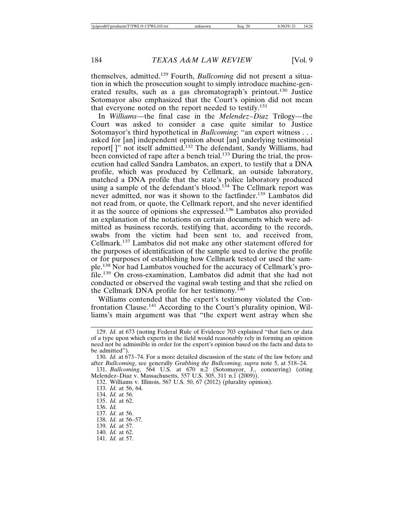themselves, admitted.129 Fourth, *Bullcoming* did not present a situation in which the prosecution sought to simply introduce machine-generated results, such as a gas chromatograph's printout.130 Justice Sotomayor also emphasized that the Court's opinion did not mean that everyone noted on the report needed to testify.<sup>131</sup>

In *Williams*—the final case in the *Melendez–Diaz* Trilogy—the Court was asked to consider a case quite similar to Justice Sotomayor's third hypothetical in *Bullcoming*: "an expert witness . . . asked for [an] independent opinion about [an] underlying testimonial report[ ]" not itself admitted.132 The defendant, Sandy Williams, had been convicted of rape after a bench trial.<sup>133</sup> During the trial, the prosecution had called Sandra Lambatos, an expert, to testify that a DNA profile, which was produced by Cellmark, an outside laboratory, matched a DNA profile that the state's police laboratory produced using a sample of the defendant's blood.<sup>134</sup> The Cellmark report was never admitted, nor was it shown to the factfinder.<sup>135</sup> Lambatos did not read from, or quote, the Cellmark report, and she never identified it as the source of opinions she expressed.136 Lambatos also provided an explanation of the notations on certain documents which were admitted as business records, testifying that, according to the records, swabs from the victim had been sent to, and received from, Cellmark.137 Lambatos did not make any other statement offered for the purposes of identification of the sample used to derive the profile or for purposes of establishing how Cellmark tested or used the sample.138 Nor had Lambatos vouched for the accuracy of Cellmark's profile.139 On cross-examination, Lambatos did admit that she had not conducted or observed the vaginal swab testing and that she relied on the Cellmark DNA profile for her testimony.<sup>140</sup>

Williams contended that the expert's testimony violated the Confrontation Clause.141 According to the Court's plurality opinion, Williams's main argument was that "the expert went astray when she

- 135. *Id.* at 62.
- 136. *Id.*
- 137. *Id.* at 56.
- 138. *Id.* at 56–57.
- 139. *Id.* at 57.
- 140. *Id.* at 62.
- 141. *Id.* at 57.

<sup>129.</sup> *Id.* at 673 (noting Federal Rule of Evidence 703 explained "that facts or data of a type upon which experts in the field would reasonably rely in forming an opinion need not be admissible in order for the expert's opinion based on the facts and data to be admitted").

<sup>130.</sup> *Id.* at 673–74. For a more detailed discussion of the state of the law before and after *Bullcoming*, see generally *Grabbing the Bullcoming*, *supra* note 5, at 518–24.

<sup>131.</sup> *Bullcoming*, 564 U.S. at 670 n.2 (Sotomayor, J., concurring) (citing Melendez–Diaz v. Massachusetts, 557 U.S. 305, 311 n.1 (2009)).

<sup>132.</sup> Williams v. Illinois, 567 U.S. 50, 67 (2012) (plurality opinion).

<sup>133.</sup> *Id.* at 56, 64.

<sup>134.</sup> *Id.* at 56.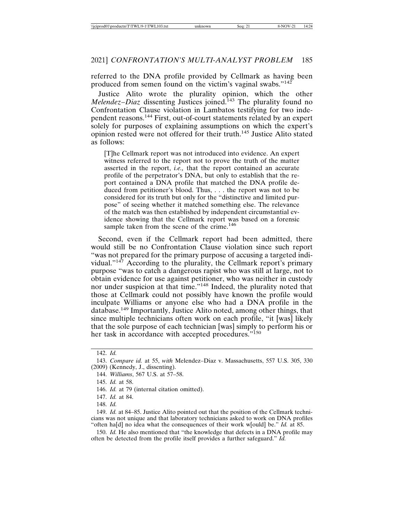referred to the DNA profile provided by Cellmark as having been produced from semen found on the victim's vaginal swabs."<sup>142</sup>

Justice Alito wrote the plurality opinion, which the other *Melendez–Diaz* dissenting Justices joined.<sup>143</sup> The plurality found no Confrontation Clause violation in Lambatos testifying for two independent reasons.144 First, out-of-court statements related by an expert solely for purposes of explaining assumptions on which the expert's opinion rested were not offered for their truth.145 Justice Alito stated as follows:

[T]he Cellmark report was not introduced into evidence. An expert witness referred to the report not to prove the truth of the matter asserted in the report, *i.e.,* that the report contained an accurate profile of the perpetrator's DNA, but only to establish that the report contained a DNA profile that matched the DNA profile deduced from petitioner's blood. Thus, . . . the report was not to be considered for its truth but only for the "distinctive and limited purpose" of seeing whether it matched something else. The relevance of the match was then established by independent circumstantial evidence showing that the Cellmark report was based on a forensic sample taken from the scene of the crime.<sup>146</sup>

Second, even if the Cellmark report had been admitted, there would still be no Confrontation Clause violation since such report "was not prepared for the primary purpose of accusing a targeted individual."147 According to the plurality, the Cellmark report's primary purpose "was to catch a dangerous rapist who was still at large, not to obtain evidence for use against petitioner, who was neither in custody nor under suspicion at that time."148 Indeed, the plurality noted that those at Cellmark could not possibly have known the profile would inculpate Williams or anyone else who had a DNA profile in the database.149 Importantly, Justice Alito noted, among other things, that since multiple technicians often work on each profile, "it [was] likely that the sole purpose of each technician [was] simply to perform his or her task in accordance with accepted procedures."<sup>150</sup>

149. *Id.* at 84–85. Justice Alito pointed out that the position of the Cellmark technicians was not unique and that laboratory technicians asked to work on DNA profiles "often ha[d] no idea what the consequences of their work w[ould] be." *Id.* at 85.

150. *Id.* He also mentioned that "the knowledge that defects in a DNA profile may often be detected from the profile itself provides a further safeguard." *Id.*

<sup>142.</sup> *Id.*

<sup>143.</sup> *Compare id.* at 55, *with* Melendez–Diaz v. Massachusetts, 557 U.S. 305, 330 (2009) (Kennedy, J., dissenting).

<sup>144.</sup> *Williams*, 567 U.S. at 57–58.

<sup>145.</sup> *Id.* at 58.

<sup>146.</sup> *Id.* at 79 (internal citation omitted).

<sup>147.</sup> *Id.* at 84.

<sup>148.</sup> *Id.*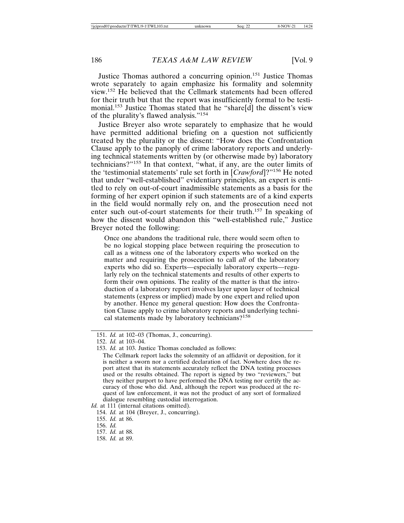Justice Thomas authored a concurring opinion.151 Justice Thomas wrote separately to again emphasize his formality and solemnity view.152 He believed that the Cellmark statements had been offered for their truth but that the report was insufficiently formal to be testimonial.153 Justice Thomas stated that he "share[d] the dissent's view of the plurality's flawed analysis."<sup>154</sup>

Justice Breyer also wrote separately to emphasize that he would have permitted additional briefing on a question not sufficiently treated by the plurality or the dissent: "How does the Confrontation Clause apply to the panoply of crime laboratory reports and underlying technical statements written by (or otherwise made by) laboratory technicians?"155 In that context, "what, if any, are the outer limits of the 'testimonial statements' rule set forth in [*Crawford*]?"156 He noted that under "well-established" evidentiary principles, an expert is entitled to rely on out-of-court inadmissible statements as a basis for the forming of her expert opinion if such statements are of a kind experts in the field would normally rely on, and the prosecution need not enter such out-of-court statements for their truth.157 In speaking of how the dissent would abandon this "well-established rule," Justice Breyer noted the following:

Once one abandons the traditional rule, there would seem often to be no logical stopping place between requiring the prosecution to call as a witness one of the laboratory experts who worked on the matter and requiring the prosecution to call *all* of the laboratory experts who did so. Experts—especially laboratory experts—regularly rely on the technical statements and results of other experts to form their own opinions. The reality of the matter is that the introduction of a laboratory report involves layer upon layer of technical statements (express or implied) made by one expert and relied upon by another. Hence my general question: How does the Confrontation Clause apply to crime laboratory reports and underlying technical statements made by laboratory technicians?<sup>158</sup>

- *Id.* at 111 (internal citations omitted).
	- 154. *Id.* at 104 (Breyer, J., concurring).
	- 155. *Id.* at 86.
	- 156. *Id.*
	- 157. *Id.* at 88.
	- 158. *Id.* at 89.

<sup>151.</sup> *Id.* at 102–03 (Thomas, J., concurring).

<sup>152.</sup> *Id.* at 103–04.

<sup>153.</sup> *Id.* at 103. Justice Thomas concluded as follows:

The Cellmark report lacks the solemnity of an affidavit or deposition, for it is neither a sworn nor a certified declaration of fact. Nowhere does the report attest that its statements accurately reflect the DNA testing processes used or the results obtained. The report is signed by two "reviewers," but they neither purport to have performed the DNA testing nor certify the accuracy of those who did. And, although the report was produced at the request of law enforcement, it was not the product of any sort of formalized dialogue resembling custodial interrogation.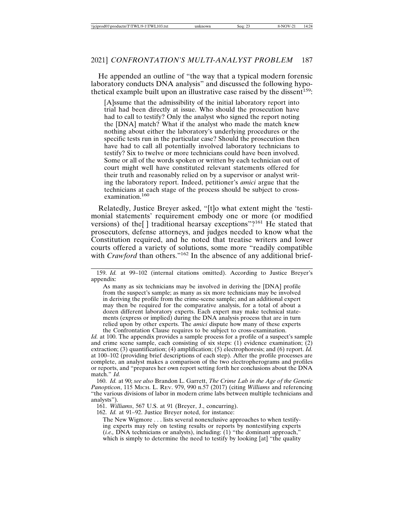He appended an outline of "the way that a typical modern forensic laboratory conducts DNA analysis" and discussed the following hypothetical example built upon an illustrative case raised by the dissent<sup>159</sup>:

[A]ssume that the admissibility of the initial laboratory report into trial had been directly at issue. Who should the prosecution have had to call to testify? Only the analyst who signed the report noting the [DNA] match? What if the analyst who made the match knew nothing about either the laboratory's underlying procedures or the specific tests run in the particular case? Should the prosecution then have had to call all potentially involved laboratory technicians to testify? Six to twelve or more technicians could have been involved. Some or all of the words spoken or written by each technician out of court might well have constituted relevant statements offered for their truth and reasonably relied on by a supervisor or analyst writing the laboratory report. Indeed, petitioner's *amici* argue that the technicians at each stage of the process should be subject to crossexamination.<sup>160</sup>

Relatedly, Justice Breyer asked, "[t]o what extent might the 'testimonial statements' requirement embody one or more (or modified versions) of the<sup>[]</sup> traditional hearsay exceptions"?<sup>161</sup> He stated that prosecutors, defense attorneys, and judges needed to know what the Constitution required, and he noted that treatise writers and lower courts offered a variety of solutions, some more "readily compatible with *Crawford* than others."<sup>162</sup> In the absence of any additional brief-

As many as six technicians may be involved in deriving the [DNA] profile from the suspect's sample; as many as six more technicians may be involved in deriving the profile from the crime-scene sample; and an additional expert may then be required for the comparative analysis, for a total of about a dozen different laboratory experts. Each expert may make technical statements (express or implied) during the DNA analysis process that are in turn relied upon by other experts. The *amici* dispute how many of these experts the Confrontation Clause requires to be subject to cross-examination.

*Id.* at 100. The appendix provides a sample process for a profile of a suspect's sample and crime scene sample, each consisting of six steps:  $(1)$  evidence examination;  $(2)$ extraction; (3) quantification; (4) amplification; (5) electrophoresis; and (6) report. *Id.* at 100–102 (providing brief descriptions of each step). After the profile processes are complete, an analyst makes a comparison of the two electropherograms and profiles or reports, and "prepares her own report setting forth her conclusions about the DNA match." *Id.*

160. *Id.* at 90; *see also* Brandon L. Garrett, *The Crime Lab in the Age of the Genetic Panopticon*, 115 MICH. L. REV. 979, 990 n.57 (2017) (citing *Williams* and referencing "the various divisions of labor in modern crime labs between multiple technicians and analysts").

161. *Williams*, 567 U.S. at 91 (Breyer, J., concurring).

162. *Id.* at 91–92. Justice Breyer noted, for instance:

The New Wigmore . . . lists several nonexclusive approaches to when testifying experts may rely on testing results or reports by nontestifying experts (*i.e.,* DNA technicians or analysts), including: (1) "the dominant approach," which is simply to determine the need to testify by looking [at] "the quality

<sup>159.</sup> *Id.* at 99–102 (internal citations omitted). According to Justice Breyer's appendix: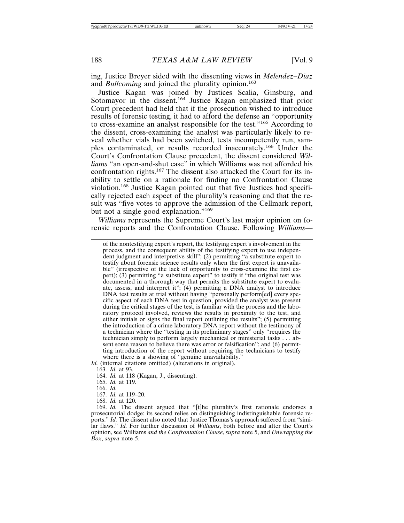ing, Justice Breyer sided with the dissenting views in *Melendez–Diaz* and *Bullcoming* and joined the plurality opinion.<sup>163</sup>

Justice Kagan was joined by Justices Scalia, Ginsburg, and Sotomayor in the dissent.<sup>164</sup> Justice Kagan emphasized that prior Court precedent had held that if the prosecution wished to introduce results of forensic testing, it had to afford the defense an "opportunity to cross-examine an analyst responsible for the test."165 According to the dissent, cross-examining the analyst was particularly likely to reveal whether vials had been switched, tests incompetently run, samples contaminated, or results recorded inaccurately.166 Under the Court's Confrontation Clause precedent, the dissent considered *Williams* "an open-and-shut case" in which Williams was not afforded his confrontation rights.<sup>167</sup> The dissent also attacked the Court for its inability to settle on a rationale for finding no Confrontation Clause violation.168 Justice Kagan pointed out that five Justices had specifically rejected each aspect of the plurality's reasoning and that the result was "five votes to approve the admission of the Cellmark report, but not a single good explanation."<sup>169</sup>

*Williams* represents the Supreme Court's last major opinion on forensic reports and the Confrontation Clause. Following *Williams*—

of the nontestifying expert's report, the testifying expert's involvement in the process, and the consequent ability of the testifying expert to use independent judgment and interpretive skill"; (2) permitting "a substitute expert to testify about forensic science results only when the first expert is unavailable" (irrespective of the lack of opportunity to cross-examine the first expert); (3) permitting "a substitute expert" to testify if "the original test was documented in a thorough way that permits the substitute expert to evaluate, assess, and interpret it"; (4) permitting a DNA analyst to introduce DNA test results at trial without having "personally perform[ed] every specific aspect of each DNA test in question, provided the analyst was present during the critical stages of the test, is familiar with the process and the laboratory protocol involved, reviews the results in proximity to the test, and either initials or signs the final report outlining the results"; (5) permitting the introduction of a crime laboratory DNA report without the testimony of a technician where the "testing in its preliminary stages" only "requires the technician simply to perform largely mechanical or ministerial tasks . . . absent some reason to believe there was error or falsification"; and (6) permitting introduction of the report without requiring the technicians to testify where there is a showing of "genuine unavailability."

*Id.* (internal citations omitted) (alterations in original).

163. *Id.* at 93.

164. *Id.* at 118 (Kagan, J., dissenting).

165. *Id.* at 119.

166. *Id.*

167. *Id.* at 119–20.

168. *Id.* at 120.

169. *Id.* The dissent argued that "[t]he plurality's first rationale endorses a prosecutorial dodge; its second relies on distinguishing indistinguishable forensic reports." *Id.* The dissent also noted that Justice Thomas's approach suffered from "similar flaws." *Id.* For further discussion of *Williams*, both before and after the Court's opinion, see Williams *and the Confrontation Clause*, *supra* note 5, and *Unwrapping the Box*, *supra* note 5.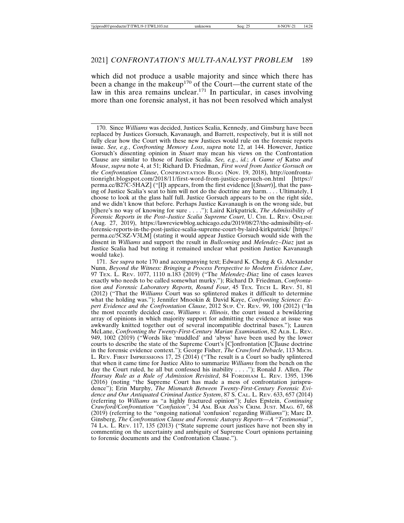which did not produce a usable majority and since which there has been a change in the makeup<sup>170</sup> of the Court—the current state of the law in this area remains unclear.<sup>171</sup> In particular, in cases involving more than one forensic analyst, it has not been resolved which analyst

170. Since *Williams* was decided, Justices Scalia, Kennedy, and Ginsburg have been replaced by Justices Gorsuch, Kavanaugh, and Barrett, respectively, but it is still not fully clear how the Court with these new Justices would rule on the forensic reports issue. *See, e.g.*, *Confronting Memory Loss*, *supra* note 12, at 144. However, Justice Gorsuch's dissenting opinion in *Stuart* may mean his views on the Confrontation Clause are similar to those of Justice Scalia. *See, e.g.*, *id.*; *A Game of* Katso *and Mouse*, *supra* note 4, at 51; Richard D. Friedman, *First word from Justice Gorsuch on the Confrontation Clause*, CONFRONTATION BLOG (Nov. 19, 2018), http://confrontationright.blogspot.com/2018/11/first-word-from-justice-gorsuch-on.html [https:// perma.cc/B27C-5HAZ] ("[I]t appears, from the first evidence [(*Stuart*)], that the passing of Justice Scalia's seat to him will not do the doctrine any harm. . . . Ultimately, I choose to look at the glass half full. Justice Gorsuch appears to be on the right side, and we didn't know that before. Perhaps Justice Kavanaugh is on the wrong side, but [t]here's no way of knowing for sure . . . ."); Laird Kirkpatrick, *The Admissibility of Forensic Reports in the Post–Justice Scalia Supreme Court*, U. CHI. L. REV. ONLINE (Aug. 27, 2019), https://lawreviewblog.uchicago.edu/2019/08/27/the-admissibility-offorensic-reports-in-the-post-justice-scalia-supreme-court-by-laird-kirkpatrick/ [https:// perma.cc/5C8Z-V3LM] (stating it would appear Justice Gorsuch would side with the dissent in *Williams* and support the result in *Bullcoming* and *Melendez*–*Diaz* just as Justice Scalia had but noting it remained unclear what position Justice Kavanaugh would take).

171. *See supra* note 170 and accompanying text; Edward K. Cheng & G. Alexander Nunn, *Beyond the Witness: Bringing a Process Perspective to Modern Evidence Law*, 97 TEX. L. REV. 1077, 1110 n.183 (2019) ("The *Melendez*-*Diaz* line of cases leaves exactly who needs to be called somewhat murky."); Richard D. Friedman, *Confrontation and Forensic Laboratory Reports, Round Four*, 45 TEX. TECH L. REV. 51, 81 (2012) ("That the *Williams* Court was so splintered makes it difficult to determine what the holding was."); Jennifer Mnookin & David Kaye, *Confronting Science: Expert Evidence and the Confrontation Clause*, 2012 Sup. CT. REV. 99, 100 (2012) ("In the most recently decided case, *Williams v. Illinois*, the court issued a bewildering array of opinions in which majority support for admitting the evidence at issue was awkwardly knitted together out of several incompatible doctrinal bases."); Lauren McLane, *Confronting the Twenty-First-Century Marian Examination*, 82 ALB. L. REV. 949, 1002 (2019) ("Words like 'muddled' and 'abyss' have been used by the lower courts to describe the state of the Supreme Court's [C]onfrontation [C]lause doctrine in the forensic evidence context."); George Fisher, *The Crawford Debacle*, 113 MICH. L. REV. FIRST IMPRESSIONS 17, 25 (2014) ("The result is a Court so badly splintered that when it came time for Justice Alito to summarize *Williams* from the bench on the day the Court ruled, he all but confessed his inability . . . ."); Ronald J. Allen, *The Hearsay Rule as a Rule of Admission Revisited*, 84 FORDHAM L. REV. 1395, 1396 (2016) (noting "the Supreme Court has made a mess of confrontation jurisprudence"); Erin Murphy, *The Mismatch Between Twenty-First-Century Forensic Evidence and Our Antiquated Criminal Justice System*, 87 S. CAL. L. REV. 633, 657 (2014) (referring to *Williams* as "a highly fractured opinion"); Jules Epstein, *Continuing Crawford/Confrontation "Confusion"*, 34 AM. BAR ASS'N CRIM. JUST. MAG. 67, 68 (2019) (referring to the "ongoing national 'confusion' regarding *Williams*"); Marc D. Ginsberg, *The Confrontation Clause and Forensic Autopsy Reports—A "Testimonial"*, 74 LA. L. REV. 117, 135 (2013) ("State supreme court justices have not been shy in commenting on the uncertainty and ambiguity of Supreme Court opinions pertaining to forensic documents and the Confrontation Clause.").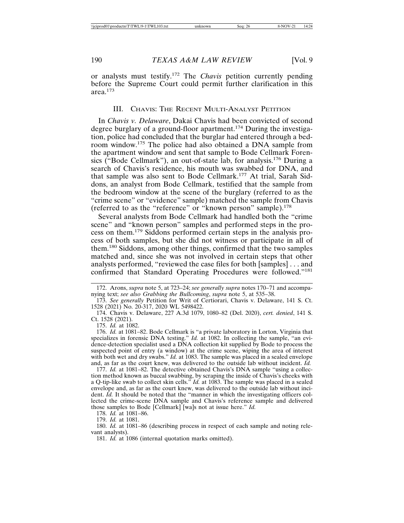or analysts must testify.172 The *Chavis* petition currently pending before the Supreme Court could permit further clarification in this area.173

#### III. CHAVIS: THE RECENT MULTI-ANALYST PETITION

In *Chavis v. Delaware*, Dakai Chavis had been convicted of second degree burglary of a ground-floor apartment.174 During the investigation, police had concluded that the burglar had entered through a bedroom window.175 The police had also obtained a DNA sample from the apartment window and sent that sample to Bode Cellmark Forensics ("Bode Cellmark"), an out-of-state lab, for analysis.176 During a search of Chavis's residence, his mouth was swabbed for DNA, and that sample was also sent to Bode Cellmark.177 At trial, Sarah Siddons, an analyst from Bode Cellmark, testified that the sample from the bedroom window at the scene of the burglary (referred to as the "crime scene" or "evidence" sample) matched the sample from Chavis (referred to as the "reference" or "known person" sample).<sup>178</sup>

Several analysts from Bode Cellmark had handled both the "crime scene" and "known person" samples and performed steps in the process on them.179 Siddons performed certain steps in the analysis process of both samples, but she did not witness or participate in all of them.180 Siddons, among other things, confirmed that the two samples matched and, since she was not involved in certain steps that other analysts performed, "reviewed the case files for both [samples] . . . and confirmed that Standard Operating Procedures were followed."181

175. *Id.* at 1082.

176. *Id.* at 1081–82. Bode Cellmark is "a private laboratory in Lorton, Virginia that specializes in forensic DNA testing." *Id.* at 1082. In collecting the sample, "an evidence-detection specialist used a DNA collection kit supplied by Bode to process the suspected point of entry (a window) at the crime scene, wiping the area of interest with both wet and dry swabs." *Id.* at 1083. The sample was placed in a sealed envelope and, as far as the court knew, was delivered to the outside lab without incident. *Id.*

177. *Id.* at 1081–82. The detective obtained Chavis's DNA sample "using a collection method known as buccal swabbing, by scraping the inside of Chavis's cheeks with a Q-tip-like swab to collect skin cells." *Id.* at 1083. The sample was placed in a sealed envelope and, as far as the court knew, was delivered to the outside lab without incident. *Id.* It should be noted that the "manner in which the investigating officers collected the crime-scene DNA sample and Chavis's reference sample and delivered those samples to Bode [Cellmark] [wa]s not at issue here." *Id.*

178. *Id.* at 1081–86.

179. *Id.* at 1081.

180. *Id.* at 1081–86 (describing process in respect of each sample and noting relevant analysts).

181. *Id.* at 1086 (internal quotation marks omitted).

<sup>172.</sup> Arons, *supra* note 5, at 723–24; *see generally supra* notes 170–71 and accompanying text; *see also Grabbing the Bullcoming*, *supra* note 5, at 535–38.

<sup>173.</sup> *See generally* Petition for Writ of Certiorari, Chavis v. Delaware, 141 S. Ct. 1528 (2021) No. 20-317, 2020 WL 5498422.

<sup>174.</sup> Chavis v. Delaware, 227 A.3d 1079, 1080–82 (Del. 2020), *cert. denied*, 141 S. Ct. 1528 (2021).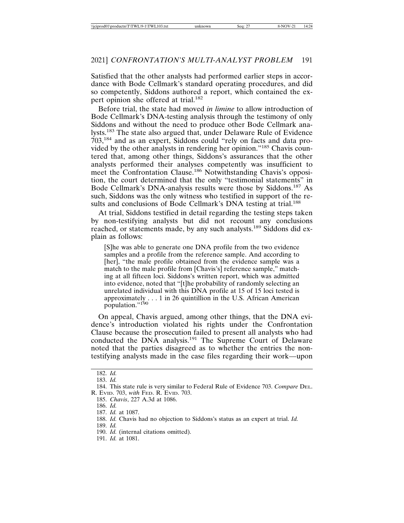Satisfied that the other analysts had performed earlier steps in accordance with Bode Cellmark's standard operating procedures, and did so competently, Siddons authored a report, which contained the expert opinion she offered at trial.<sup>182</sup>

Before trial, the state had moved *in limine* to allow introduction of Bode Cellmark's DNA-testing analysis through the testimony of only Siddons and without the need to produce other Bode Cellmark analysts.183 The state also argued that, under Delaware Rule of Evidence 703,184 and as an expert, Siddons could "rely on facts and data provided by the other analysts in rendering her opinion."185 Chavis countered that, among other things, Siddons's assurances that the other analysts performed their analyses competently was insufficient to meet the Confrontation Clause.186 Notwithstanding Chavis's opposition, the court determined that the only "testimonial statements" in Bode Cellmark's DNA-analysis results were those by Siddons.187 As such, Siddons was the only witness who testified in support of the results and conclusions of Bode Cellmark's DNA testing at trial.<sup>188</sup>

At trial, Siddons testified in detail regarding the testing steps taken by non-testifying analysts but did not recount any conclusions reached, or statements made, by any such analysts.189 Siddons did explain as follows:

[S]he was able to generate one DNA profile from the two evidence samples and a profile from the reference sample. And according to [her], "the male profile obtained from the evidence sample was a match to the male profile from [Chavis's] reference sample," matching at all fifteen loci. Siddons's written report, which was admitted into evidence, noted that "[t]he probability of randomly selecting an unrelated individual with this DNA profile at 15 of 15 loci tested is approximately . . . 1 in 26 quintillion in the U.S. African American population."<sup>190</sup>

On appeal, Chavis argued, among other things, that the DNA evidence's introduction violated his rights under the Confrontation Clause because the prosecution failed to present all analysts who had conducted the DNA analysis.<sup>191</sup> The Supreme Court of Delaware noted that the parties disagreed as to whether the entries the nontestifying analysts made in the case files regarding their work—upon

<sup>182.</sup> *Id.*

<sup>183.</sup> *Id.*

<sup>184.</sup> This state rule is very similar to Federal Rule of Evidence 703. *Compare* DEL. R. EVID. 703, *with* FED. R. EVID. 703.

<sup>185.</sup> *Chavis*, 227 A.3d at 1086.

<sup>186.</sup> *Id.*

<sup>187.</sup> *Id.* at 1087.

<sup>188.</sup> *Id.* Chavis had no objection to Siddons's status as an expert at trial. *Id.*

<sup>189.</sup> *Id.*

<sup>190.</sup> *Id.* (internal citations omitted).

<sup>191.</sup> *Id.* at 1081.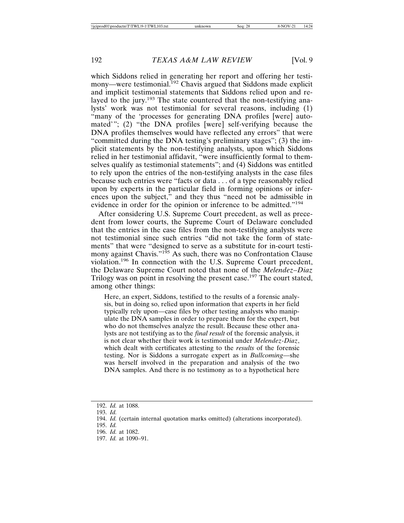which Siddons relied in generating her report and offering her testimony—were testimonial.<sup>192</sup> Chavis argued that Siddons made explicit and implicit testimonial statements that Siddons relied upon and relayed to the jury.<sup>193</sup> The state countered that the non-testifying analysts' work was not testimonial for several reasons, including (1) "many of the 'processes for generating DNA profiles [were] automated'"; (2) "the DNA profiles [were] self-verifying because the DNA profiles themselves would have reflected any errors" that were "committed during the DNA testing's preliminary stages"; (3) the implicit statements by the non-testifying analysts, upon which Siddons relied in her testimonial affidavit, "were insufficiently formal to themselves qualify as testimonial statements"; and (4) Siddons was entitled to rely upon the entries of the non-testifying analysts in the case files because such entries were "facts or data . . . of a type reasonably relied upon by experts in the particular field in forming opinions or inferences upon the subject," and they thus "need not be admissible in evidence in order for the opinion or inference to be admitted."194

After considering U.S. Supreme Court precedent, as well as precedent from lower courts, the Supreme Court of Delaware concluded that the entries in the case files from the non-testifying analysts were not testimonial since such entries "did not take the form of statements" that were "designed to serve as a substitute for in-court testimony against Chavis."<sup>195</sup> As such, there was no Confrontation Clause violation.196 In connection with the U.S. Supreme Court precedent, the Delaware Supreme Court noted that none of the *Melendez–Diaz* Trilogy was on point in resolving the present case.<sup>197</sup> The court stated, among other things:

Here, an expert, Siddons, testified to the results of a forensic analysis, but in doing so, relied upon information that experts in her field typically rely upon—case files by other testing analysts who manipulate the DNA samples in order to prepare them for the expert, but who do not themselves analyze the result. Because these other analysts are not testifying as to the *final result* of the forensic analysis, it is not clear whether their work is testimonial under *Melendez-Diaz*, which dealt with certificates attesting to the *results* of the forensic testing. Nor is Siddons a surrogate expert as in *Bullcoming*—she was herself involved in the preparation and analysis of the two DNA samples. And there is no testimony as to a hypothetical here

196. *Id.* at 1082.

<sup>192.</sup> *Id.* at 1088.

<sup>193.</sup> *Id.*

<sup>194.</sup> *Id.* (certain internal quotation marks omitted) (alterations incorporated).

<sup>195.</sup> *Id.*

<sup>197.</sup> *Id.* at 1090–91.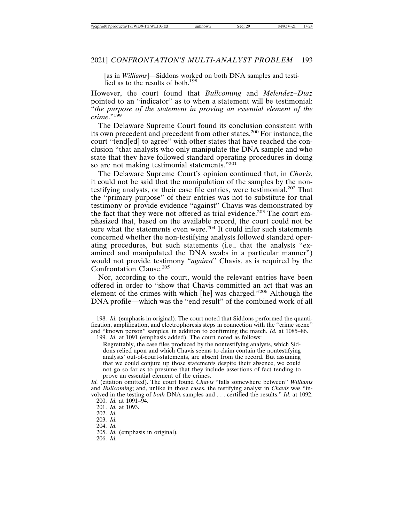[as in *Williams*]—Siddons worked on both DNA samples and testified as to the results of both.<sup>198</sup>

However, the court found that *Bullcoming* and *Melendez–Diaz* pointed to an "indicator" as to when a statement will be testimonial: "*the purpose of the statement in proving an essential element of the crime*."199

The Delaware Supreme Court found its conclusion consistent with its own precedent and precedent from other states.200 For instance, the court "tend[ed] to agree" with other states that have reached the conclusion "that analysts who only manipulate the DNA sample and who state that they have followed standard operating procedures in doing so are not making testimonial statements."<sup>201</sup>

The Delaware Supreme Court's opinion continued that, in *Chavis*, it could not be said that the manipulation of the samples by the nontestifying analysts, or their case file entries, were testimonial.202 That the "primary purpose" of their entries was not to substitute for trial testimony or provide evidence "against" Chavis was demonstrated by the fact that they were not offered as trial evidence.<sup>203</sup> The court emphasized that, based on the available record, the court could not be sure what the statements even were.<sup>204</sup> It could infer such statements concerned whether the non-testifying analysts followed standard operating procedures, but such statements (i.e., that the analysts "examined and manipulated the DNA swabs in a particular manner") would not provide testimony "*against*" Chavis, as is required by the Confrontation Clause.<sup>205</sup>

Nor, according to the court, would the relevant entries have been offered in order to "show that Chavis committed an act that was an element of the crimes with which [he] was charged."206 Although the DNA profile—which was the "end result" of the combined work of all

Regrettably, the case files produced by the nontestifying analysts, which Siddons relied upon and which Chavis seems to claim contain the nontestifying analysts' out-of-court-statements, are absent from the record. But assuming that we could conjure up those statements despite their absence, we could not go so far as to presume that they include assertions of fact tending to prove an essential element of the crimes.

206. *Id.*

<sup>198.</sup> *Id.* (emphasis in original). The court noted that Siddons performed the quantification, amplification, and electrophoresis steps in connection with the "crime scene" and "known person" samples, in addition to confirming the match. *Id.* at 1085–86.

<sup>199.</sup> *Id.* at 1091 (emphasis added). The court noted as follows:

*Id.* (citation omitted). The court found *Chavis* "falls somewhere between" *Williams* and *Bullcoming*; and, unlike in those cases, the testifying analyst in *Chavis* was "involved in the testing of *both* DNA samples and . . . certified the results." *Id.* at 1092. 200. *Id.* at 1091–94.

<sup>201.</sup> *Id.* at 1093.

<sup>202.</sup> *Id.*

<sup>203.</sup> *Id.*

<sup>204.</sup> *Id.*

<sup>205.</sup> *Id.* (emphasis in original).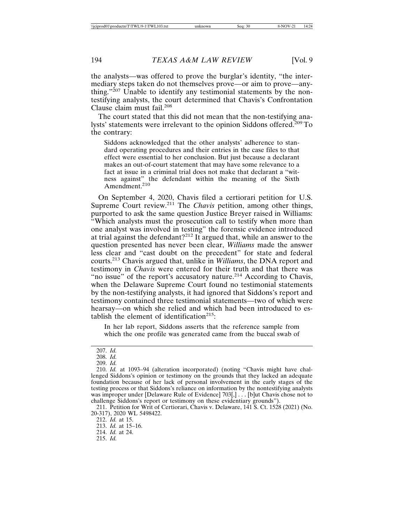the analysts—was offered to prove the burglar's identity, "the intermediary steps taken do not themselves prove—or aim to prove—anything."<sup>207</sup> Unable to identify any testimonial statements by the nontestifying analysts, the court determined that Chavis's Confrontation Clause claim must fail.<sup>208</sup>

The court stated that this did not mean that the non-testifying analysts' statements were irrelevant to the opinion Siddons offered.209 To the contrary:

Siddons acknowledged that the other analysts' adherence to standard operating procedures and their entries in the case files to that effect were essential to her conclusion. But just because a declarant makes an out-of-court statement that may have some relevance to a fact at issue in a criminal trial does not make that declarant a "witness against" the defendant within the meaning of the Sixth Amendment.<sup>210</sup>

On September 4, 2020, Chavis filed a certiorari petition for U.S. Supreme Court review.211 The *Chavis* petition, among other things, purported to ask the same question Justice Breyer raised in Williams: "Which analysts must the prosecution call to testify when more than one analyst was involved in testing" the forensic evidence introduced at trial against the defendant?<sup>212</sup> It argued that, while an answer to the question presented has never been clear, *Williams* made the answer less clear and "cast doubt on the precedent" for state and federal courts.213 Chavis argued that, unlike in *Williams*, the DNA report and testimony in *Chavis* were entered for their truth and that there was "no issue" of the report's accusatory nature.<sup>214</sup> According to Chavis, when the Delaware Supreme Court found no testimonial statements by the non-testifying analysts, it had ignored that Siddons's report and testimony contained three testimonial statements—two of which were hearsay—on which she relied and which had been introduced to establish the element of identification<sup>215</sup>:

In her lab report, Siddons asserts that the reference sample from which the one profile was generated came from the buccal swab of

211. Petition for Writ of Certiorari, Chavis v. Delaware, 141 S. Ct. 1528 (2021) (No. 20-317), 2020 WL 5498422.

212. *Id.* at 15.

<sup>207.</sup> *Id.*

<sup>208.</sup> *Id.*

<sup>209.</sup> *Id.*

<sup>210.</sup> *Id.* at 1093–94 (alteration incorporated) (noting "Chavis might have challenged Siddons's opinion or testimony on the grounds that they lacked an adequate foundation because of her lack of personal involvement in the early stages of the testing process or that Siddons's reliance on information by the nontestifying analysts was improper under [Delaware Rule of Evidence] 703[,] . . . [b]ut Chavis chose not to challenge Siddons's report or testimony on these evidentiary grounds").

<sup>213.</sup> *Id.* at 15–16.

<sup>214.</sup> *Id.* at 24.

<sup>215.</sup> *Id.*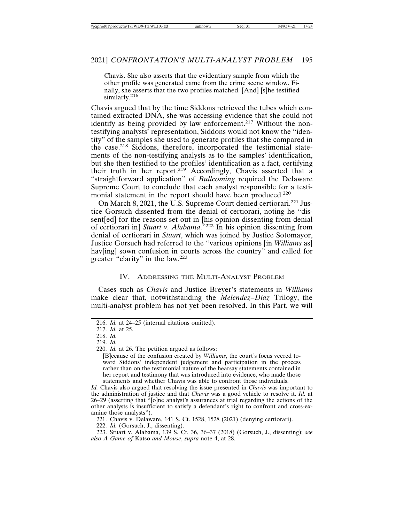Chavis. She also asserts that the evidentiary sample from which the other profile was generated came from the crime scene window. Finally, she asserts that the two profiles matched. [And] [s]he testified similarly.<sup>216</sup>

Chavis argued that by the time Siddons retrieved the tubes which contained extracted DNA, she was accessing evidence that she could not identify as being provided by law enforcement.<sup>217</sup> Without the nontestifying analysts' representation, Siddons would not know the "identity" of the samples she used to generate profiles that she compared in the case.218 Siddons, therefore, incorporated the testimonial statements of the non-testifying analysts as to the samples' identification, but she then testified to the profiles' identification as a fact, certifying their truth in her report.<sup>219</sup> Accordingly, Chavis asserted that a "straightforward application" of *Bullcoming* required the Delaware Supreme Court to conclude that each analyst responsible for a testimonial statement in the report should have been produced.<sup>220</sup>

On March 8, 2021, the U.S. Supreme Court denied certiorari.<sup>221</sup> Justice Gorsuch dissented from the denial of certiorari, noting he "dissent[ed] for the reasons set out in [his opinion dissenting from denial of certiorari in] *Stuart v. Alabama*."222 In his opinion dissenting from denial of certiorari in *Stuart*, which was joined by Justice Sotomayor, Justice Gorsuch had referred to the "various opinions [in *Williams* as] hav[ing] sown confusion in courts across the country" and called for greater "clarity" in the law.<sup>223</sup>

# IV. ADDRESSING THE MULTI-ANALYST PROBLEM

Cases such as *Chavis* and Justice Breyer's statements in *Williams* make clear that, notwithstanding the *Melendez–Diaz* Trilogy, the multi-analyst problem has not yet been resolved. In this Part, we will

218. *Id.*

[B]ecause of the confusion created by *Williams*, the court's focus veered toward Siddons' independent judgement and participation in the process rather than on the testimonial nature of the hearsay statements contained in her report and testimony that was introduced into evidence, who made those statements and whether Chavis was able to confront those individuals.

*Id.* Chavis also argued that resolving the issue presented in *Chavis* was important to the administration of justice and that *Chavis* was a good vehicle to resolve it. *Id.* at 26–29 (asserting that "[o]ne analyst's assurances at trial regarding the actions of the other analysts is insufficient to satisfy a defendant's right to confront and cross-examine those analysts").

221. Chavis v. Delaware, 141 S. Ct. 1528, 1528 (2021) (denying certiorari).

223. Stuart v. Alabama, 139 S. Ct. 36, 36–37 (2018) (Gorsuch, J., dissenting); *see also A Game of* Katso *and Mouse*, *supra* note 4, at 28.

<sup>216.</sup> *Id.* at 24–25 (internal citations omitted).

<sup>217.</sup> *Id.* at 25.

<sup>219.</sup> *Id.*

<sup>220.</sup> *Id.* at 26. The petition argued as follows:

<sup>222.</sup> *Id.* (Gorsuch, J., dissenting).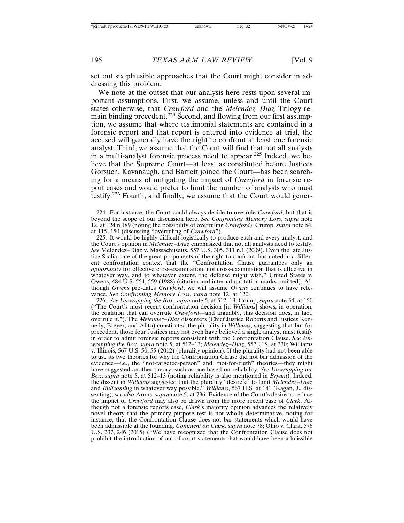set out six plausible approaches that the Court might consider in addressing this problem.

We note at the outset that our analysis here rests upon several important assumptions. First, we assume, unless and until the Court states otherwise, that *Crawford* and the *Melendez–Diaz* Trilogy remain binding precedent.<sup>224</sup> Second, and flowing from our first assumption, we assume that where testimonial statements are contained in a forensic report and that report is entered into evidence at trial, the accused will generally have the right to confront at least one forensic analyst. Third, we assume that the Court will find that not all analysts in a multi-analyst forensic process need to appear.225 Indeed, we believe that the Supreme Court—at least as constituted before Justices Gorsuch, Kavanaugh, and Barrett joined the Court—has been searching for a means of mitigating the impact of *Crawford* in forensic report cases and would prefer to limit the number of analysts who must testify.226 Fourth, and finally, we assume that the Court would gener-

225. It would be highly difficult logistically to produce each and every analyst, and the Court's opinion in *Melendez*–*Diaz* emphasized that not all analysts need to testify. *See* Melendez–Diaz v. Massachusetts, 557 U.S. 305, 311 n.1 (2009). Even the late Justice Scalia, one of the great proponents of the right to confront, has noted in a different confrontation context that the "Confrontation Clause guarantees only an *opportunity* for effective cross-examination, not cross-examination that is effective in whatever way, and to whatever extent, the defense might wish." United States v. Owens, 484 U.S. 554, 559 (1988) (citation and internal quotation marks omitted). Although *Owens* pre-dates *Crawford*, we will assume *Owens* continues to have relevance. *See Confronting Memory Loss*, *supra* note 12, at 120.

226. *See Unwrapping the Box*, *supra* note 5, at 512–13; Crump, *supra* note 54, at 150 ("The Court's most recent confrontation decision [in *Williams*] shows, in operation, the coalition that can overrule *Crawford*—and arguably, this decision does, in fact, overrule it."). The *Melendez*–*Diaz* dissenters (Chief Justice Roberts and Justices Kennedy, Breyer, and Alito) constituted the plurality in *Williams*, suggesting that but for precedent, those four Justices may not even have believed a single analyst must testify in order to admit forensic reports consistent with the Confrontation Clause. *See Unwrapping the Box*, *supra* note 5, at 512–13; *Melendez*–*Diaz*, 557 U.S. at 330; Williams v. Illinois, 567 U.S. 50, 55 (2012) (plurality opinion). If the plurality had not been able to use its two theories for why the Confrontation Clause did not bar admission of the evidence—i.e., the "not-targeted-person" and "not-for-truth" theories—they might have suggested another theory, such as one based on reliability. *See Unwrapping the Box*, *supra* note 5, at 512–13 (noting reliability is also mentioned in *Bryant*). Indeed, the dissent in *Williams* suggested that the plurality "desire[d] to limit *Melendez–Diaz* and *Bullcoming* in whatever way possible." *Williams*, 567 U.S. at 141 (Kagan, J., dissenting); *see also* Arons, *supra* note 5, at 736. Evidence of the Court's desire to reduce the impact of *Crawford* may also be drawn from the more recent case of *Clark*. Although not a forensic reports case, *Clark*'s majority opinion advances the relatively novel theory that the primary purpose test is not wholly determinative, noting for instance, that the Confrontation Clause does not bar statements which would have been admissible at the founding. *Comment on Clark*, *supra* note 78; Ohio v. Clark, 576 U.S. 237, 246 (2015) ("We have recognized that the Confrontation Clause does not prohibit the introduction of out-of-court statements that would have been admissible

<sup>224.</sup> For instance, the Court could always decide to overrule *Crawford*, but that is beyond the scope of our discussion here. *See Confronting Memory Loss*, *supra* note 12, at 124 n.189 (noting the possibility of overruling *Crawford*); Crump, *supra* note 54, at 115, 150 (discussing "overruling of *Crawford*").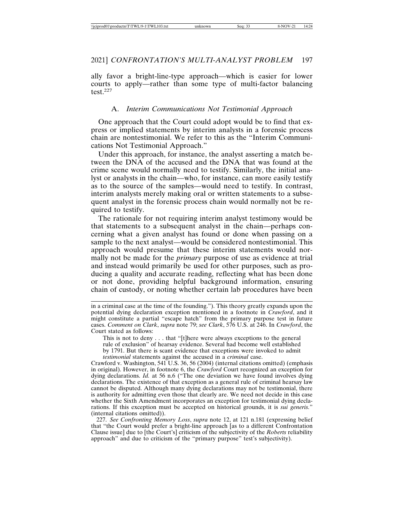ally favor a bright-line-type approach—which is easier for lower courts to apply—rather than some type of multi-factor balancing test.227

## A. *Interim Communications Not Testimonial Approach*

One approach that the Court could adopt would be to find that express or implied statements by interim analysts in a forensic process chain are nontestimonial. We refer to this as the "Interim Communications Not Testimonial Approach."

Under this approach, for instance, the analyst asserting a match between the DNA of the accused and the DNA that was found at the crime scene would normally need to testify. Similarly, the initial analyst or analysts in the chain—who, for instance, can more easily testify as to the source of the samples—would need to testify. In contrast, interim analysts merely making oral or written statements to a subsequent analyst in the forensic process chain would normally not be required to testify.

The rationale for not requiring interim analyst testimony would be that statements to a subsequent analyst in the chain—perhaps concerning what a given analyst has found or done when passing on a sample to the next analyst—would be considered nontestimonial. This approach would presume that these interim statements would normally not be made for the *primary* purpose of use as evidence at trial and instead would primarily be used for other purposes, such as producing a quality and accurate reading, reflecting what has been done or not done, providing helpful background information, ensuring chain of custody, or noting whether certain lab procedures have been

in a criminal case at the time of the founding."). This theory greatly expands upon the potential dying declaration exception mentioned in a footnote in *Crawford*, and it might constitute a partial "escape hatch" from the primary purpose test in future cases. *Comment on Clark*, *supra* note 79; *see Clark*, 576 U.S. at 246. In *Crawford*, the Court stated as follows:

This is not to deny . . . that "[t]here were always exceptions to the general rule of exclusion" of hearsay evidence. Several had become well established by 1791. But there is scant evidence that exceptions were invoked to admit *testimonial* statements against the accused in a *criminal* case.

Crawford v. Washington, 541 U.S. 36, 56 (2004) (internal citations omitted) (emphasis in original). However, in footnote 6, the *Crawford* Court recognized an exception for dying declarations. *Id.* at 56 n.6 ("The one deviation we have found involves dying declarations. The existence of that exception as a general rule of criminal hearsay law cannot be disputed. Although many dying declarations may not be testimonial, there is authority for admitting even those that clearly are. We need not decide in this case whether the Sixth Amendment incorporates an exception for testimonial dying declarations. If this exception must be accepted on historical grounds, it is *sui generis.*" (internal citations omitted)).

227. *See Confronting Memory Loss*, *supra* note 12, at 121 n.181 (expressing belief that "the Court would prefer a bright-line approach [as to a different Confrontation Clause issue] due to [the Court's] criticism of the subjectivity of the *Roberts* reliability approach" and due to criticism of the "primary purpose" test's subjectivity).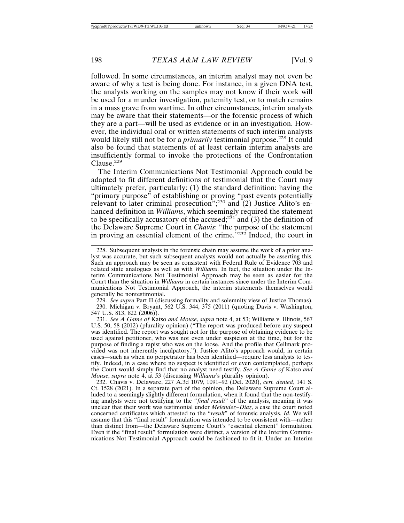followed. In some circumstances, an interim analyst may not even be aware of why a test is being done. For instance, in a given DNA test, the analysts working on the samples may not know if their work will be used for a murder investigation, paternity test, or to match remains in a mass grave from wartime. In other circumstances, interim analysts may be aware that their statements—or the forensic process of which they are a part—will be used as evidence or in an investigation. However, the individual oral or written statements of such interim analysts would likely still not be for a *primarily* testimonial purpose.<sup>228</sup> It could also be found that statements of at least certain interim analysts are insufficiently formal to invoke the protections of the Confrontation Clause.229

The Interim Communications Not Testimonial Approach could be adapted to fit different definitions of testimonial that the Court may ultimately prefer, particularly: (1) the standard definition: having the "primary purpose" of establishing or proving "past events potentially relevant to later criminal prosecution";230 and (2) Justice Alito's enhanced definition in *Williams*, which seemingly required the statement to be specifically accusatory of the accused;<sup>231</sup> and  $(3)$  the definition of the Delaware Supreme Court in *Chavis*: "the purpose of the statement in proving an essential element of the crime.<sup>"232</sup> Indeed, the court in

229. *See supra* Part II (discussing formality and solemnity view of Justice Thomas). 230. Michigan v. Bryant, 562 U.S. 344, 375 (2011) (quoting Davis v. Washington, 547 U.S. 813, 822 (2006)).

231. *See A Game of* Katso *and Mouse*, *supra* note 4, at 53; Williams v. Illinois, 567 U.S. 50, 58 (2012) (plurality opinion) ("The report was produced before any suspect was identified. The report was sought not for the purpose of obtaining evidence to be used against petitioner, who was not even under suspicion at the time, but for the purpose of finding a rapist who was on the loose. And the profile that Cellmark provided was not inherently inculpatory."). Justice Alito's approach would, in certain cases—such as when no perpetrator has been identified—require less analysts to testify. Indeed, in a case where no suspect is identified or even contemplated, perhaps the Court would simply find that no analyst need testify. *See A Game of* Katso *and Mouse*, *supra* note 4, at 53 (discussing *Williams*'s plurality opinion).

232. Chavis v. Delaware, 227 A.3d 1079, 1091–92 (Del. 2020), *cert. denied*, 141 S. Ct. 1528 (2021). In a separate part of the opinion, the Delaware Supreme Court alluded to a seemingly slightly different formulation, when it found that the non-testifying analysts were not testifying to the "*final result*" of the analysis, meaning it was unclear that their work was testimonial under *Melendez*–*Diaz*, a case the court noted concerned certificates which attested to the "*result*" of forensic analysis. *Id.* We will assume that this "final result" formulation was intended to be consistent with—rather than distinct from—the Delaware Supreme Court's "essential element" formulation. Even if the "final result" formulation were distinct, a version of the Interim Communications Not Testimonial Approach could be fashioned to fit it. Under an Interim

<sup>228.</sup> Subsequent analysts in the forensic chain may assume the work of a prior analyst was accurate, but such subsequent analysts would not actually be asserting this. Such an approach may be seen as consistent with Federal Rule of Evidence 703 and related state analogues as well as with *Williams*. In fact, the situation under the Interim Communications Not Testimonial Approach may be seen as easier for the Court than the situation in *Williams* in certain instances since under the Interim Communications Not Testimonial Approach, the interim statements themselves would generally be nontestimonial.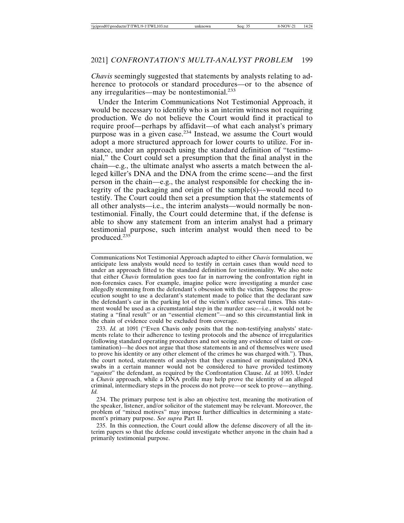*Chavis* seemingly suggested that statements by analysts relating to adherence to protocols or standard procedures—or to the absence of any irregularities—may be nontestimonial.<sup>233</sup>

Under the Interim Communications Not Testimonial Approach, it would be necessary to identify who is an interim witness not requiring production. We do not believe the Court would find it practical to require proof—perhaps by affidavit—of what each analyst's primary purpose was in a given case.234 Instead, we assume the Court would adopt a more structured approach for lower courts to utilize. For instance, under an approach using the standard definition of "testimonial," the Court could set a presumption that the final analyst in the chain—e.g., the ultimate analyst who asserts a match between the alleged killer's DNA and the DNA from the crime scene—and the first person in the chain—e.g., the analyst responsible for checking the integrity of the packaging and origin of the sample(s)—would need to testify. The Court could then set a presumption that the statements of all other analysts—i.e., the interim analysts—would normally be nontestimonial. Finally, the Court could determine that, if the defense is able to show any statement from an interim analyst had a primary testimonial purpose, such interim analyst would then need to be produced.235

Communications Not Testimonial Approach adapted to either *Chavis* formulation, we anticipate less analysts would need to testify in certain cases than would need to under an approach fitted to the standard definition for testimoniality. We also note that either *Chavis* formulation goes too far in narrowing the confrontation right in non-forensics cases. For example, imagine police were investigating a murder case allegedly stemming from the defendant's obsession with the victim. Suppose the prosecution sought to use a declarant's statement made to police that the declarant saw the defendant's car in the parking lot of the victim's office several times. This statement would be used as a circumstantial step in the murder case—i.e., it would not be stating a "final result" or an "essential element"—and so this circumstantial link in the chain of evidence could be excluded from coverage.

233. *Id.* at 1091 ("Even Chavis only posits that the non-testifying analysts' statements relate to their adherence to testing protocols and the absence of irregularities (following standard operating procedures and not seeing any evidence of taint or contamination)—he does not argue that those statements in and of themselves were used to prove his identity or any other element of the crimes he was charged with."). Thus, the court noted, statements of analysts that they examined or manipulated DNA swabs in a certain manner would not be considered to have provided testimony "*against*" the defendant, as required by the Confrontation Clause. *Id.* at 1093. Under a *Chavis* approach, while a DNA profile may help prove the identity of an alleged criminal, intermediary steps in the process do not prove—or seek to prove—anything. *Id.*

234. The primary purpose test is also an objective test, meaning the motivation of the speaker, listener, and/or solicitor of the statement may be relevant. Moreover, the problem of "mixed motives" may impose further difficulties in determining a statement's primary purpose. *See supra* Part II.

235. In this connection, the Court could allow the defense discovery of all the interim papers so that the defense could investigate whether anyone in the chain had a primarily testimonial purpose.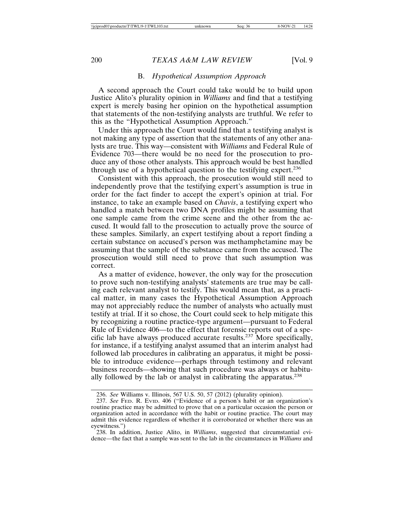#### B. *Hypothetical Assumption Approach*

A second approach the Court could take would be to build upon Justice Alito's plurality opinion in *Williams* and find that a testifying expert is merely basing her opinion on the hypothetical assumption that statements of the non-testifying analysts are truthful. We refer to this as the "Hypothetical Assumption Approach."

Under this approach the Court would find that a testifying analyst is not making any type of assertion that the statements of any other analysts are true. This way—consistent with *Williams* and Federal Rule of Evidence 703—there would be no need for the prosecution to produce any of those other analysts. This approach would be best handled through use of a hypothetical question to the testifying expert.<sup>236</sup>

Consistent with this approach, the prosecution would still need to independently prove that the testifying expert's assumption is true in order for the fact finder to accept the expert's opinion at trial. For instance, to take an example based on *Chavis*, a testifying expert who handled a match between two DNA profiles might be assuming that one sample came from the crime scene and the other from the accused. It would fall to the prosecution to actually prove the source of these samples. Similarly, an expert testifying about a report finding a certain substance on accused's person was methamphetamine may be assuming that the sample of the substance came from the accused. The prosecution would still need to prove that such assumption was correct.

As a matter of evidence, however, the only way for the prosecution to prove such non-testifying analysts' statements are true may be calling each relevant analyst to testify. This would mean that, as a practical matter, in many cases the Hypothetical Assumption Approach may not appreciably reduce the number of analysts who actually must testify at trial. If it so chose, the Court could seek to help mitigate this by recognizing a routine practice-type argument—pursuant to Federal Rule of Evidence 406—to the effect that forensic reports out of a specific lab have always produced accurate results.237 More specifically, for instance, if a testifying analyst assumed that an interim analyst had followed lab procedures in calibrating an apparatus, it might be possible to introduce evidence—perhaps through testimony and relevant business records—showing that such procedure was always or habitually followed by the lab or analyst in calibrating the apparatus.238

<sup>236.</sup> *See* Williams v. Illinois, 567 U.S. 50, 57 (2012) (plurality opinion).

<sup>237.</sup> *See* FED. R. EVID. 406 ("Evidence of a person's habit or an organization's routine practice may be admitted to prove that on a particular occasion the person or organization acted in accordance with the habit or routine practice. The court may admit this evidence regardless of whether it is corroborated or whether there was an eyewitness.")

<sup>238.</sup> In addition, Justice Alito, in *Williams*, suggested that circumstantial evidence—the fact that a sample was sent to the lab in the circumstances in *Williams* and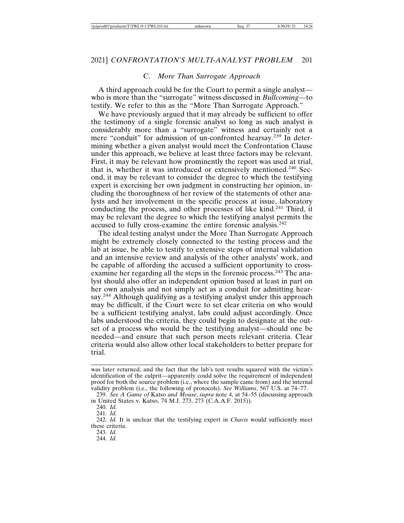## C. *More Than Surrogate Approach*

A third approach could be for the Court to permit a single analyst who is more than the "surrogate" witness discussed in *Bullcoming*—to testify. We refer to this as the "More Than Surrogate Approach."

We have previously argued that it may already be sufficient to offer the testimony of a single forensic analyst so long as such analyst is considerably more than a "surrogate" witness and certainly not a mere "conduit" for admission of un-confronted hearsay.239 In determining whether a given analyst would meet the Confrontation Clause under this approach, we believe at least three factors may be relevant. First, it may be relevant how prominently the report was used at trial, that is, whether it was introduced or extensively mentioned.240 Second, it may be relevant to consider the degree to which the testifying expert is exercising her own judgment in constructing her opinion, including the thoroughness of her review of the statements of other analysts and her involvement in the specific process at issue, laboratory conducting the process, and other processes of like kind.<sup>241</sup> Third, it may be relevant the degree to which the testifying analyst permits the accused to fully cross-examine the entire forensic analysis.<sup>242</sup>

The ideal testing analyst under the More Than Surrogate Approach might be extremely closely connected to the testing process and the lab at issue, be able to testify to extensive steps of internal validation and an intensive review and analysis of the other analysts' work, and be capable of affording the accused a sufficient opportunity to crossexamine her regarding all the steps in the forensic process.<sup>243</sup> The analyst should also offer an independent opinion based at least in part on her own analysis and not simply act as a conduit for admitting hearsay.<sup>244</sup> Although qualifying as a testifying analyst under this approach may be difficult, if the Court were to set clear criteria on who would be a sufficient testifying analyst, labs could adjust accordingly. Once labs understood the criteria, they could begin to designate at the outset of a process who would be the testifying analyst—should one be needed—and ensure that such person meets relevant criteria. Clear criteria would also allow other local stakeholders to better prepare for trial.

244. *Id.*

was later returned, and the fact that the lab's test results squared with the victim's identification of the culprit—apparently could solve the requirement of independent proof for both the source problem (i.e., where the sample came from) and the internal validity problem (i.e., the following of protocols). *See Williams*, 567 U.S. at 74–77.

<sup>239.</sup> *See A Game of* Katso *and Mouse*, *supra* note 4, at 54–55 (discussing approach in United States v. Katso, 74 M.J. 273, 273 (C.A.A.F. 2015)).

<sup>240.</sup> *Id.*

<sup>241.</sup> *Id.*

<sup>242.</sup> *Id.* It is unclear that the testifying expert in *Chavis* would sufficiently meet these criteria.

<sup>243.</sup> *Id.*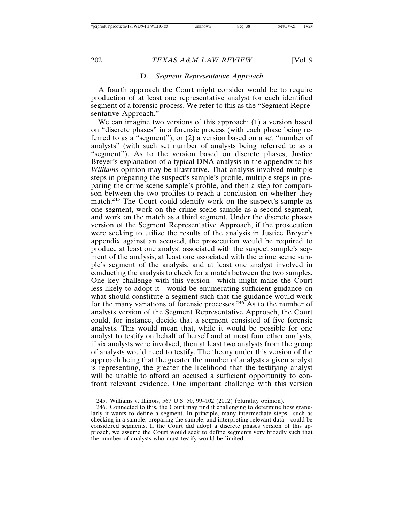#### D. *Segment Representative Approach*

A fourth approach the Court might consider would be to require production of at least one representative analyst for each identified segment of a forensic process. We refer to this as the "Segment Representative Approach."

We can imagine two versions of this approach: (1) a version based on "discrete phases" in a forensic process (with each phase being referred to as a "segment"); or (2) a version based on a set "number of analysts" (with such set number of analysts being referred to as a "segment"). As to the version based on discrete phases, Justice Breyer's explanation of a typical DNA analysis in the appendix to his *Williams* opinion may be illustrative. That analysis involved multiple steps in preparing the suspect's sample's profile, multiple steps in preparing the crime scene sample's profile, and then a step for comparison between the two profiles to reach a conclusion on whether they match.245 The Court could identify work on the suspect's sample as one segment, work on the crime scene sample as a second segment, and work on the match as a third segment. Under the discrete phases version of the Segment Representative Approach, if the prosecution were seeking to utilize the results of the analysis in Justice Breyer's appendix against an accused, the prosecution would be required to produce at least one analyst associated with the suspect sample's segment of the analysis, at least one associated with the crime scene sample's segment of the analysis, and at least one analyst involved in conducting the analysis to check for a match between the two samples. One key challenge with this version—which might make the Court less likely to adopt it—would be enumerating sufficient guidance on what should constitute a segment such that the guidance would work for the many variations of forensic processes.<sup>246</sup> As to the number of analysts version of the Segment Representative Approach, the Court could, for instance, decide that a segment consisted of five forensic analysts. This would mean that, while it would be possible for one analyst to testify on behalf of herself and at most four other analysts, if six analysts were involved, then at least two analysts from the group of analysts would need to testify. The theory under this version of the approach being that the greater the number of analysts a given analyst is representing, the greater the likelihood that the testifying analyst will be unable to afford an accused a sufficient opportunity to confront relevant evidence. One important challenge with this version

<sup>245.</sup> Williams v. Illinois, 567 U.S. 50, 99–102 (2012) (plurality opinion).

<sup>246.</sup> Connected to this, the Court may find it challenging to determine how granularly it wants to define a segment. In principle, many intermediate steps—such as checking in a sample, preparing the sample, and interpreting relevant data—could be considered segments. If the Court did adopt a discrete phases version of this approach, we assume the Court would seek to define segments very broadly such that the number of analysts who must testify would be limited.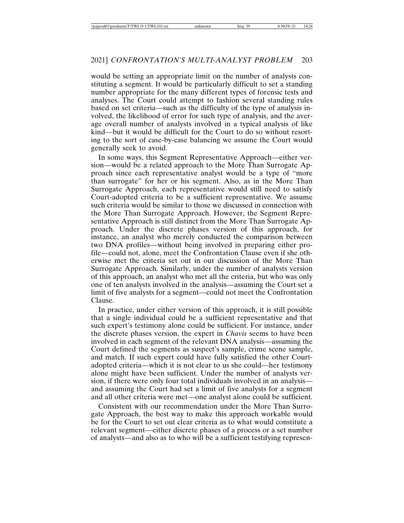would be setting an appropriate limit on the number of analysts constituting a segment. It would be particularly difficult to set a standing number appropriate for the many different types of forensic tests and analyses. The Court could attempt to fashion several standing rules based on set criteria—such as the difficulty of the type of analysis involved, the likelihood of error for such type of analysis, and the average overall number of analysts involved in a typical analysis of like kind—but it would be difficult for the Court to do so without resorting to the sort of case-by-case balancing we assume the Court would generally seek to avoid.

In some ways, this Segment Representative Approach—either version—would be a related approach to the More Than Surrogate Approach since each representative analyst would be a type of "more than surrogate" for her or his segment. Also, as in the More Than Surrogate Approach, each representative would still need to satisfy Court-adopted criteria to be a sufficient representative. We assume such criteria would be similar to those we discussed in connection with the More Than Surrogate Approach. However, the Segment Representative Approach is still distinct from the More Than Surrogate Approach. Under the discrete phases version of this approach, for instance, an analyst who merely conducted the comparison between two DNA profiles—without being involved in preparing either profile—could not, alone, meet the Confrontation Clause even if she otherwise met the criteria set out in our discussion of the More Than Surrogate Approach. Similarly, under the number of analysts version of this approach, an analyst who met all the criteria, but who was only one of ten analysts involved in the analysis—assuming the Court set a limit of five analysts for a segment—could not meet the Confrontation Clause.

In practice, under either version of this approach, it is still possible that a single individual could be a sufficient representative and that such expert's testimony alone could be sufficient. For instance, under the discrete phases version, the expert in *Chavis* seems to have been involved in each segment of the relevant DNA analysis—assuming the Court defined the segments as suspect's sample, crime scene sample, and match. If such expert could have fully satisfied the other Courtadopted criteria—which it is not clear to us she could—her testimony alone might have been sufficient. Under the number of analysts version, if there were only four total individuals involved in an analysis and assuming the Court had set a limit of five analysts for a segment and all other criteria were met—one analyst alone could be sufficient.

Consistent with our recommendation under the More Than Surrogate Approach, the best way to make this approach workable would be for the Court to set out clear criteria as to what would constitute a relevant segment—either discrete phases of a process or a set number of analysts—and also as to who will be a sufficient testifying represen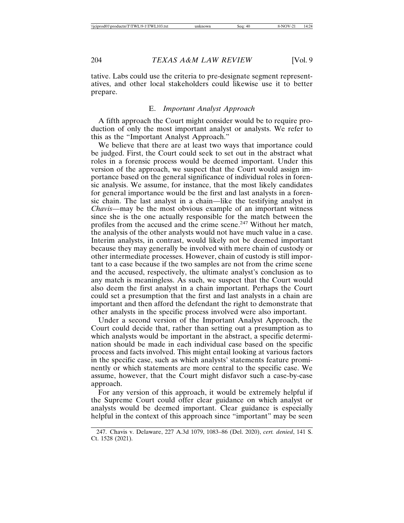tative. Labs could use the criteria to pre-designate segment representatives, and other local stakeholders could likewise use it to better prepare.

#### E. *Important Analyst Approach*

A fifth approach the Court might consider would be to require production of only the most important analyst or analysts. We refer to this as the "Important Analyst Approach."

We believe that there are at least two ways that importance could be judged. First, the Court could seek to set out in the abstract what roles in a forensic process would be deemed important. Under this version of the approach, we suspect that the Court would assign importance based on the general significance of individual roles in forensic analysis. We assume, for instance, that the most likely candidates for general importance would be the first and last analysts in a forensic chain. The last analyst in a chain—like the testifying analyst in *Chavis*—may be the most obvious example of an important witness since she is the one actually responsible for the match between the profiles from the accused and the crime scene.<sup>247</sup> Without her match. the analysis of the other analysts would not have much value in a case. Interim analysts, in contrast, would likely not be deemed important because they may generally be involved with mere chain of custody or other intermediate processes. However, chain of custody is still important to a case because if the two samples are not from the crime scene and the accused, respectively, the ultimate analyst's conclusion as to any match is meaningless. As such, we suspect that the Court would also deem the first analyst in a chain important. Perhaps the Court could set a presumption that the first and last analysts in a chain are important and then afford the defendant the right to demonstrate that other analysts in the specific process involved were also important.

Under a second version of the Important Analyst Approach, the Court could decide that, rather than setting out a presumption as to which analysts would be important in the abstract, a specific determination should be made in each individual case based on the specific process and facts involved. This might entail looking at various factors in the specific case, such as which analysts' statements feature prominently or which statements are more central to the specific case. We assume, however, that the Court might disfavor such a case-by-case approach.

For any version of this approach, it would be extremely helpful if the Supreme Court could offer clear guidance on which analyst or analysts would be deemed important. Clear guidance is especially helpful in the context of this approach since "important" may be seen

<sup>247.</sup> Chavis v. Delaware, 227 A.3d 1079, 1083–86 (Del. 2020), *cert. denied*, 141 S. Ct. 1528 (2021).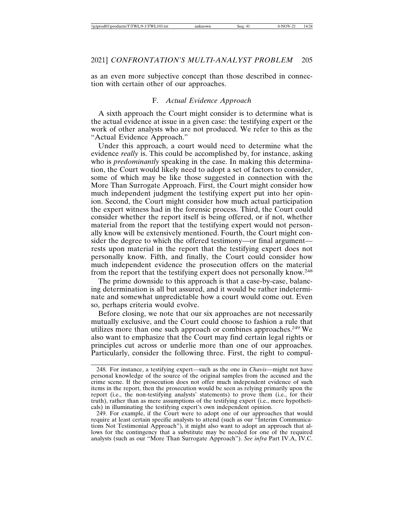as an even more subjective concept than those described in connection with certain other of our approaches.

# F. *Actual Evidence Approach*

A sixth approach the Court might consider is to determine what is the actual evidence at issue in a given case: the testifying expert or the work of other analysts who are not produced. We refer to this as the "Actual Evidence Approach."

Under this approach, a court would need to determine what the evidence *really* is. This could be accomplished by, for instance, asking who is *predominantly* speaking in the case. In making this determination, the Court would likely need to adopt a set of factors to consider, some of which may be like those suggested in connection with the More Than Surrogate Approach. First, the Court might consider how much independent judgment the testifying expert put into her opinion. Second, the Court might consider how much actual participation the expert witness had in the forensic process. Third, the Court could consider whether the report itself is being offered, or if not, whether material from the report that the testifying expert would not personally know will be extensively mentioned. Fourth, the Court might consider the degree to which the offered testimony—or final argument rests upon material in the report that the testifying expert does not personally know. Fifth, and finally, the Court could consider how much independent evidence the prosecution offers on the material from the report that the testifying expert does not personally know.<sup>248</sup>

The prime downside to this approach is that a case-by-case, balancing determination is all but assured, and it would be rather indeterminate and somewhat unpredictable how a court would come out. Even so, perhaps criteria would evolve.

Before closing, we note that our six approaches are not necessarily mutually exclusive, and the Court could choose to fashion a rule that utilizes more than one such approach or combines approaches.<sup>249</sup> We also want to emphasize that the Court may find certain legal rights or principles cut across or underlie more than one of our approaches. Particularly, consider the following three. First, the right to compul-

<sup>248.</sup> For instance, a testifying expert—such as the one in *Chavis*—might not have personal knowledge of the source of the original samples from the accused and the crime scene. If the prosecution does not offer much independent evidence of such items in the report, then the prosecution would be seen as relying primarily upon the report (i.e., the non-testifying analysts' statements) to prove them (i.e., for their truth), rather than as mere assumptions of the testifying expert (i.e., mere hypotheticals) in illuminating the testifying expert's own independent opinion.

<sup>249.</sup> For example, if the Court were to adopt one of our approaches that would require at least certain specific analysts to attend (such as our "Interim Communications Not Testimonial Approach"), it might also want to adopt an approach that allows for the contingency that a substitute may be needed for one of the required analysts (such as our "More Than Surrogate Approach"). *See infra* Part IV.A, IV.C.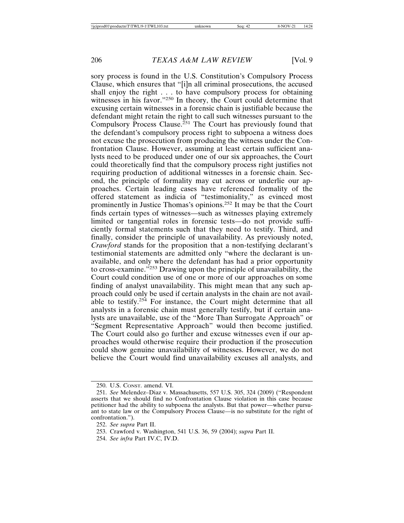sory process is found in the U.S. Constitution's Compulsory Process Clause, which ensures that "[i]n all criminal prosecutions, the accused shall enjoy the right . . . to have compulsory process for obtaining witnesses in his favor."<sup>250</sup> In theory, the Court could determine that excusing certain witnesses in a forensic chain is justifiable because the defendant might retain the right to call such witnesses pursuant to the Compulsory Process Clause.<sup> $251$ </sup> The Court has previously found that the defendant's compulsory process right to subpoena a witness does not excuse the prosecution from producing the witness under the Confrontation Clause. However, assuming at least certain sufficient analysts need to be produced under one of our six approaches, the Court could theoretically find that the compulsory process right justifies not requiring production of additional witnesses in a forensic chain. Second, the principle of formality may cut across or underlie our approaches. Certain leading cases have referenced formality of the offered statement as indicia of "testimoniality," as evinced most prominently in Justice Thomas's opinions.252 It may be that the Court finds certain types of witnesses—such as witnesses playing extremely limited or tangential roles in forensic tests—do not provide sufficiently formal statements such that they need to testify. Third, and finally, consider the principle of unavailability. As previously noted, *Crawford* stands for the proposition that a non-testifying declarant's testimonial statements are admitted only "where the declarant is unavailable, and only where the defendant has had a prior opportunity to cross-examine."253 Drawing upon the principle of unavailability, the Court could condition use of one or more of our approaches on some finding of analyst unavailability. This might mean that any such approach could only be used if certain analysts in the chain are not available to testify.254 For instance, the Court might determine that all analysts in a forensic chain must generally testify, but if certain analysts are unavailable, use of the "More Than Surrogate Approach" or "Segment Representative Approach" would then become justified. The Court could also go further and excuse witnesses even if our approaches would otherwise require their production if the prosecution could show genuine unavailability of witnesses. However, we do not believe the Court would find unavailability excuses all analysts, and

<sup>250.</sup> U.S. CONST. amend. VI.

<sup>251.</sup> *See* Melendez–Diaz v. Massachusetts, 557 U.S. 305, 324 (2009) ("Respondent asserts that we should find no Confrontation Clause violation in this case because petitioner had the ability to subpoena the analysts. But that power—whether pursuant to state law or the Compulsory Process Clause—is no substitute for the right of confrontation.").

<sup>252.</sup> *See supra* Part II.

<sup>253.</sup> Crawford v. Washington, 541 U.S. 36, 59 (2004); *supra* Part II.

<sup>254.</sup> *See infra* Part IV.C, IV.D.